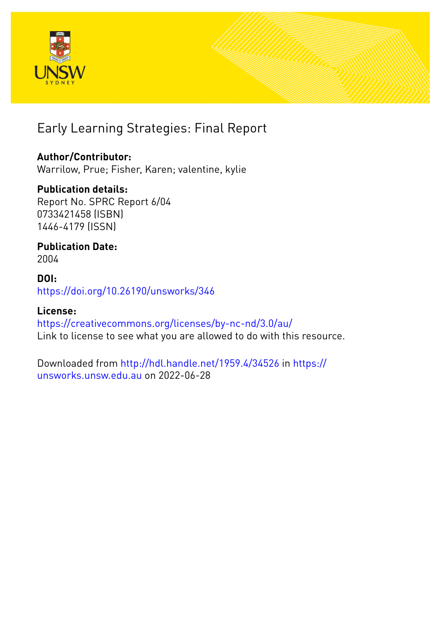

# Early Learning Strategies: Final Report

# **Author/Contributor:**

Warrilow, Prue; Fisher, Karen; valentine, kylie

# **Publication details:**

Report No. SPRC Report 6/04 0733421458 (ISBN) 1446-4179 (ISSN)

# **Publication Date:** 2004

## **DOI:** [https://doi.org/10.26190/unsworks/346](http://dx.doi.org/https://doi.org/10.26190/unsworks/346)

## **License:** <https://creativecommons.org/licenses/by-nc-nd/3.0/au/> Link to license to see what you are allowed to do with this resource.

Downloaded from <http://hdl.handle.net/1959.4/34526> in [https://](https://unsworks.unsw.edu.au) [unsworks.unsw.edu.au](https://unsworks.unsw.edu.au) on 2022-06-28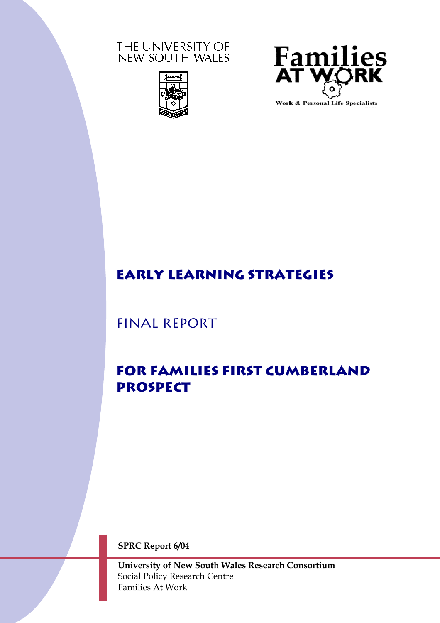### THE UNIVERSITY OF NEW SOUTH WALES





# **EARLY LEARNING Strategies**

Final Report

# **For families first Cumberland prospect**

**SPRC Report 6/04** 

**University of New South Wales Research Consortium**  Social Policy Research Centre Families At Work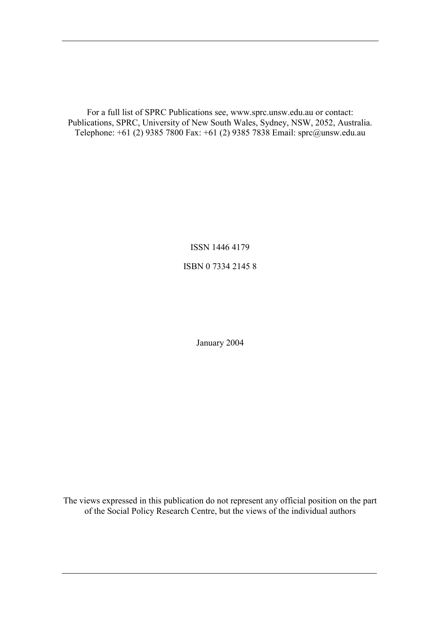For a full list of SPRC Publications see, www.sprc.unsw.edu.au or contact: Publications, SPRC, University of New South Wales, Sydney, NSW, 2052, Australia. Telephone: +61 (2) 9385 7800 Fax: +61 (2) 9385 7838 Email: sprc@unsw.edu.au

ISSN 1446 4179

ISBN 0 7334 2145 8

January 2004

The views expressed in this publication do not represent any official position on the part of the Social Policy Research Centre, but the views of the individual authors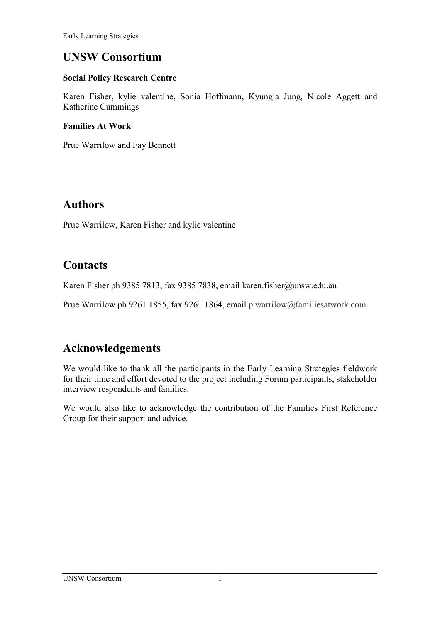# **UNSW Consortium**

#### **Social Policy Research Centre**

Karen Fisher, kylie valentine, Sonia Hoffmann, Kyungja Jung, Nicole Aggett and Katherine Cummings

#### **Families At Work**

Prue Warrilow and Fay Bennett

# **Authors**

Prue Warrilow, Karen Fisher and kylie valentine

# **Contacts**

Karen Fisher ph 9385 7813, fax 9385 7838, email karen.fisher@unsw.edu.au

Prue Warrilow ph 9261 1855, fax 9261 1864, email p.warrilow@familiesatwork.com

# **Acknowledgements**

We would like to thank all the participants in the Early Learning Strategies fieldwork for their time and effort devoted to the project including Forum participants, stakeholder interview respondents and families.

We would also like to acknowledge the contribution of the Families First Reference Group for their support and advice.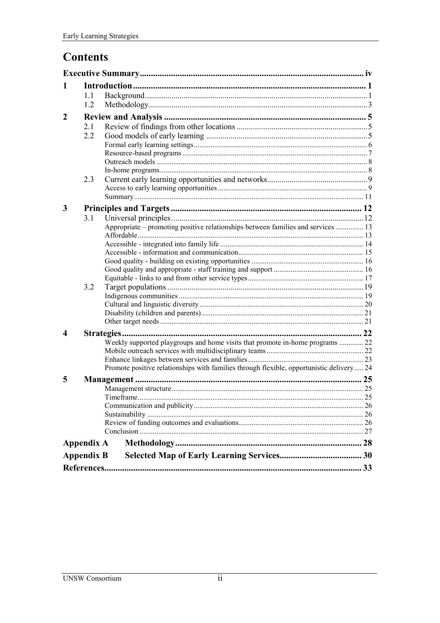# **Contents**

| 1                 |     |                                                                                          |  |  |  |  |  |  |
|-------------------|-----|------------------------------------------------------------------------------------------|--|--|--|--|--|--|
|                   | 1.1 |                                                                                          |  |  |  |  |  |  |
|                   | 1.2 |                                                                                          |  |  |  |  |  |  |
| $\mathbf{2}$      |     |                                                                                          |  |  |  |  |  |  |
|                   | 2.1 |                                                                                          |  |  |  |  |  |  |
|                   | 2.2 |                                                                                          |  |  |  |  |  |  |
|                   |     |                                                                                          |  |  |  |  |  |  |
|                   |     |                                                                                          |  |  |  |  |  |  |
|                   |     |                                                                                          |  |  |  |  |  |  |
|                   |     |                                                                                          |  |  |  |  |  |  |
|                   | 2.3 |                                                                                          |  |  |  |  |  |  |
|                   |     |                                                                                          |  |  |  |  |  |  |
|                   |     |                                                                                          |  |  |  |  |  |  |
| 3                 |     |                                                                                          |  |  |  |  |  |  |
|                   | 3.1 |                                                                                          |  |  |  |  |  |  |
|                   |     | Appropriate – promoting positive relationships between families and services  13         |  |  |  |  |  |  |
|                   |     |                                                                                          |  |  |  |  |  |  |
|                   |     |                                                                                          |  |  |  |  |  |  |
|                   |     |                                                                                          |  |  |  |  |  |  |
|                   |     |                                                                                          |  |  |  |  |  |  |
|                   |     |                                                                                          |  |  |  |  |  |  |
|                   | 3.2 |                                                                                          |  |  |  |  |  |  |
|                   |     |                                                                                          |  |  |  |  |  |  |
|                   |     |                                                                                          |  |  |  |  |  |  |
|                   |     |                                                                                          |  |  |  |  |  |  |
|                   |     |                                                                                          |  |  |  |  |  |  |
| $\boldsymbol{4}$  |     |                                                                                          |  |  |  |  |  |  |
|                   |     | Weekly supported playgroups and home visits that promote in-home programs  22            |  |  |  |  |  |  |
|                   |     |                                                                                          |  |  |  |  |  |  |
|                   |     |                                                                                          |  |  |  |  |  |  |
|                   |     | Promote positive relationships with families through flexible, opportunistic delivery 24 |  |  |  |  |  |  |
| 5                 |     |                                                                                          |  |  |  |  |  |  |
|                   |     |                                                                                          |  |  |  |  |  |  |
|                   |     |                                                                                          |  |  |  |  |  |  |
|                   |     |                                                                                          |  |  |  |  |  |  |
|                   |     |                                                                                          |  |  |  |  |  |  |
|                   |     |                                                                                          |  |  |  |  |  |  |
|                   |     |                                                                                          |  |  |  |  |  |  |
| <b>Appendix A</b> |     |                                                                                          |  |  |  |  |  |  |
| <b>Appendix B</b> |     |                                                                                          |  |  |  |  |  |  |
|                   |     |                                                                                          |  |  |  |  |  |  |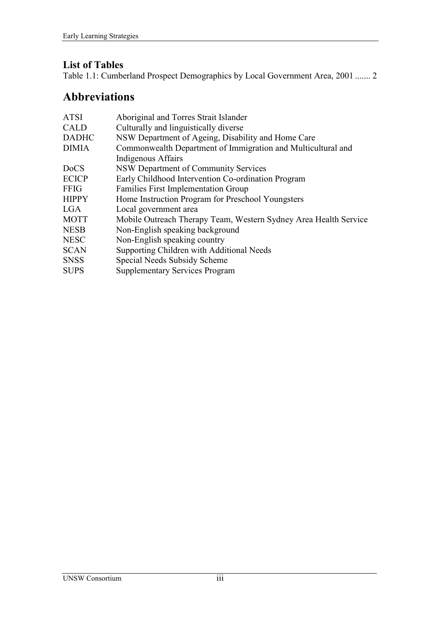### **List of Tables**

[Table 1.1: Cumberland Prospect Demographics by Local Government Area, 2001 ....... 2](#page-11-0) 

# **Abbreviations**

| <b>ATSI</b>  | Aboriginal and Torres Strait Islander                            |
|--------------|------------------------------------------------------------------|
| <b>CALD</b>  | Culturally and linguistically diverse                            |
| <b>DADHC</b> | NSW Department of Ageing, Disability and Home Care               |
| <b>DIMIA</b> | Commonwealth Department of Immigration and Multicultural and     |
|              | Indigenous Affairs                                               |
| <b>DoCS</b>  | NSW Department of Community Services                             |
| <b>ECICP</b> | Early Childhood Intervention Co-ordination Program               |
| <b>FFIG</b>  | <b>Families First Implementation Group</b>                       |
| <b>HIPPY</b> | Home Instruction Program for Preschool Youngsters                |
| <b>LGA</b>   | Local government area                                            |
| <b>MOTT</b>  | Mobile Outreach Therapy Team, Western Sydney Area Health Service |
| <b>NESB</b>  | Non-English speaking background                                  |
| <b>NESC</b>  | Non-English speaking country                                     |
| <b>SCAN</b>  | Supporting Children with Additional Needs                        |
| <b>SNSS</b>  | Special Needs Subsidy Scheme                                     |
| <b>SUPS</b>  | <b>Supplementary Services Program</b>                            |
|              |                                                                  |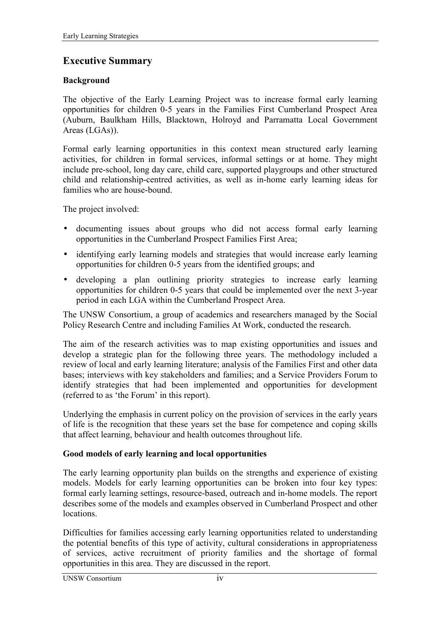### <span id="page-6-0"></span>**Executive Summary**

#### **Background**

The objective of the Early Learning Project was to increase formal early learning opportunities for children 0-5 years in the Families First Cumberland Prospect Area (Auburn, Baulkham Hills, Blacktown, Holroyd and Parramatta Local Government Areas (LGAs)).

Formal early learning opportunities in this context mean structured early learning activities, for children in formal services, informal settings or at home. They might include pre-school, long day care, child care, supported playgroups and other structured child and relationship-centred activities, as well as in-home early learning ideas for families who are house-bound.

The project involved:

- documenting issues about groups who did not access formal early learning opportunities in the Cumberland Prospect Families First Area;
- identifying early learning models and strategies that would increase early learning opportunities for children 0-5 years from the identified groups; and
- developing a plan outlining priority strategies to increase early learning opportunities for children 0-5 years that could be implemented over the next 3-year period in each LGA within the Cumberland Prospect Area.

The UNSW Consortium, a group of academics and researchers managed by the Social Policy Research Centre and including Families At Work, conducted the research.

The aim of the research activities was to map existing opportunities and issues and develop a strategic plan for the following three years. The methodology included a review of local and early learning literature; analysis of the Families First and other data bases; interviews with key stakeholders and families; and a Service Providers Forum to identify strategies that had been implemented and opportunities for development (referred to as 'the Forum' in this report).

Underlying the emphasis in current policy on the provision of services in the early years of life is the recognition that these years set the base for competence and coping skills that affect learning, behaviour and health outcomes throughout life.

#### **Good models of early learning and local opportunities**

The early learning opportunity plan builds on the strengths and experience of existing models. Models for early learning opportunities can be broken into four key types: formal early learning settings, resource-based, outreach and in-home models. The report describes some of the models and examples observed in Cumberland Prospect and other locations.

Difficulties for families accessing early learning opportunities related to understanding the potential benefits of this type of activity, cultural considerations in appropriateness of services, active recruitment of priority families and the shortage of formal opportunities in this area. They are discussed in the report.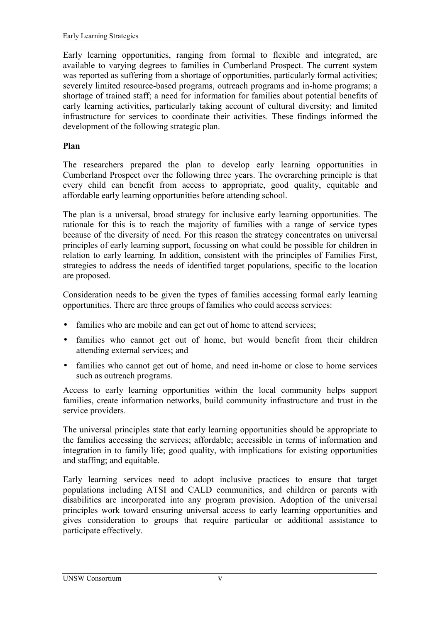Early learning opportunities, ranging from formal to flexible and integrated, are available to varying degrees to families in Cumberland Prospect. The current system was reported as suffering from a shortage of opportunities, particularly formal activities; severely limited resource-based programs, outreach programs and in-home programs; a shortage of trained staff; a need for information for families about potential benefits of early learning activities, particularly taking account of cultural diversity; and limited infrastructure for services to coordinate their activities. These findings informed the development of the following strategic plan.

#### **Plan**

The researchers prepared the plan to develop early learning opportunities in Cumberland Prospect over the following three years. The overarching principle is that every child can benefit from access to appropriate, good quality, equitable and affordable early learning opportunities before attending school.

The plan is a universal, broad strategy for inclusive early learning opportunities. The rationale for this is to reach the majority of families with a range of service types because of the diversity of need. For this reason the strategy concentrates on universal principles of early learning support, focussing on what could be possible for children in relation to early learning. In addition, consistent with the principles of Families First, strategies to address the needs of identified target populations, specific to the location are proposed.

Consideration needs to be given the types of families accessing formal early learning opportunities. There are three groups of families who could access services:

- families who are mobile and can get out of home to attend services;
- families who cannot get out of home, but would benefit from their children attending external services; and
- families who cannot get out of home, and need in-home or close to home services such as outreach programs.

Access to early learning opportunities within the local community helps support families, create information networks, build community infrastructure and trust in the service providers.

The universal principles state that early learning opportunities should be appropriate to the families accessing the services; affordable; accessible in terms of information and integration in to family life; good quality, with implications for existing opportunities and staffing; and equitable.

Early learning services need to adopt inclusive practices to ensure that target populations including ATSI and CALD communities, and children or parents with disabilities are incorporated into any program provision. Adoption of the universal principles work toward ensuring universal access to early learning opportunities and gives consideration to groups that require particular or additional assistance to participate effectively.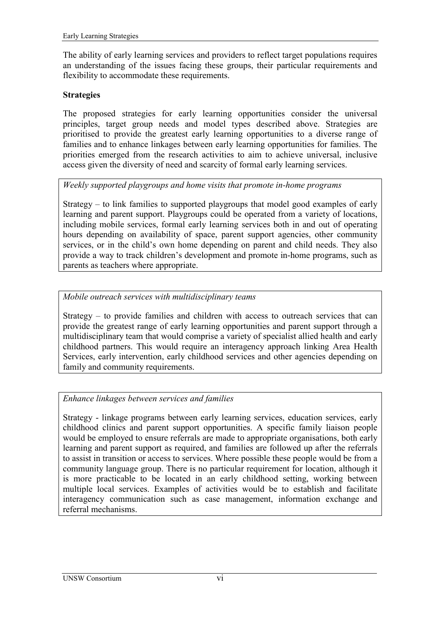The ability of early learning services and providers to reflect target populations requires an understanding of the issues facing these groups, their particular requirements and flexibility to accommodate these requirements.

#### **Strategies**

The proposed strategies for early learning opportunities consider the universal principles, target group needs and model types described above. Strategies are prioritised to provide the greatest early learning opportunities to a diverse range of families and to enhance linkages between early learning opportunities for families. The priorities emerged from the research activities to aim to achieve universal, inclusive access given the diversity of need and scarcity of formal early learning services.

#### *Weekly supported playgroups and home visits that promote in-home programs*

Strategy  $-$  to link families to supported playgroups that model good examples of early learning and parent support. Playgroups could be operated from a variety of locations, including mobile services, formal early learning services both in and out of operating hours depending on availability of space, parent support agencies, other community services, or in the child's own home depending on parent and child needs. They also provide a way to track children's development and promote in-home programs, such as parents as teachers where appropriate.

#### *Mobile outreach services with multidisciplinary teams*

Strategy  $-$  to provide families and children with access to outreach services that can provide the greatest range of early learning opportunities and parent support through a multidisciplinary team that would comprise a variety of specialist allied health and early childhood partners. This would require an interagency approach linking Area Health Services, early intervention, early childhood services and other agencies depending on family and community requirements.

#### *Enhance linkages between services and families*

Strategy - linkage programs between early learning services, education services, early childhood clinics and parent support opportunities. A specific family liaison people would be employed to ensure referrals are made to appropriate organisations, both early learning and parent support as required, and families are followed up after the referrals to assist in transition or access to services. Where possible these people would be from a community language group. There is no particular requirement for location, although it is more practicable to be located in an early childhood setting, working between multiple local services. Examples of activities would be to establish and facilitate interagency communication such as case management, information exchange and referral mechanisms.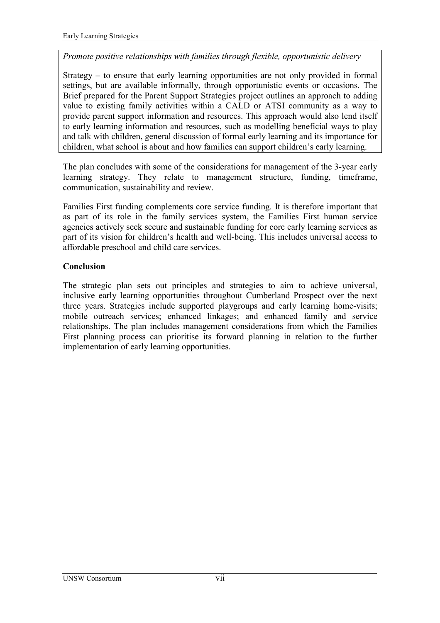#### *Promote positive relationships with families through flexible, opportunistic delivery*

Strategy  $-$  to ensure that early learning opportunities are not only provided in formal settings, but are available informally, through opportunistic events or occasions. The Brief prepared for the Parent Support Strategies project outlines an approach to adding value to existing family activities within a CALD or ATSI community as a way to provide parent support information and resources. This approach would also lend itself to early learning information and resources, such as modelling beneficial ways to play and talk with children, general discussion of formal early learning and its importance for children, what school is about and how families can support children's early learning.

The plan concludes with some of the considerations for management of the 3-year early learning strategy. They relate to management structure, funding, timeframe, communication, sustainability and review.

Families First funding complements core service funding. It is therefore important that as part of its role in the family services system, the Families First human service agencies actively seek secure and sustainable funding for core early learning services as part of its vision for children's health and well-being. This includes universal access to affordable preschool and child care services.

#### **Conclusion**

The strategic plan sets out principles and strategies to aim to achieve universal, inclusive early learning opportunities throughout Cumberland Prospect over the next three years. Strategies include supported playgroups and early learning home-visits; mobile outreach services; enhanced linkages; and enhanced family and service relationships. The plan includes management considerations from which the Families First planning process can prioritise its forward planning in relation to the further implementation of early learning opportunities.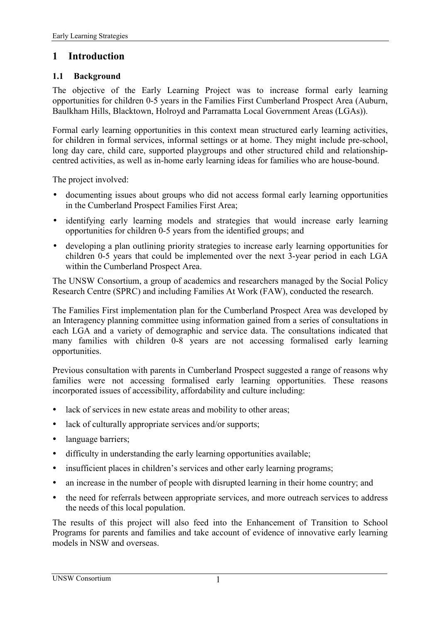### <span id="page-10-0"></span>**1 Introduction**

#### **1.1 Background**

The objective of the Early Learning Project was to increase formal early learning opportunities for children 0-5 years in the Families First Cumberland Prospect Area (Auburn, Baulkham Hills, Blacktown, Holroyd and Parramatta Local Government Areas (LGAs)).

Formal early learning opportunities in this context mean structured early learning activities, for children in formal services, informal settings or at home. They might include pre-school, long day care, child care, supported playgroups and other structured child and relationshipcentred activities, as well as in-home early learning ideas for families who are house-bound.

The project involved:

- documenting issues about groups who did not access formal early learning opportunities in the Cumberland Prospect Families First Area;
- identifying early learning models and strategies that would increase early learning opportunities for children 0-5 years from the identified groups; and
- developing a plan outlining priority strategies to increase early learning opportunities for children 0-5 years that could be implemented over the next 3-year period in each LGA within the Cumberland Prospect Area.

The UNSW Consortium, a group of academics and researchers managed by the Social Policy Research Centre (SPRC) and including Families At Work (FAW), conducted the research.

The Families First implementation plan for the Cumberland Prospect Area was developed by an Interagency planning committee using information gained from a series of consultations in each LGA and a variety of demographic and service data. The consultations indicated that many families with children 0-8 years are not accessing formalised early learning opportunities.

Previous consultation with parents in Cumberland Prospect suggested a range of reasons why families were not accessing formalised early learning opportunities. These reasons incorporated issues of accessibility, affordability and culture including:

- ! lack of services in new estate areas and mobility to other areas;
- lack of culturally appropriate services and/or supports;
- language barriers;
- ! difficulty in understanding the early learning opportunities available;
- insufficient places in children's services and other early learning programs;
- an increase in the number of people with disrupted learning in their home country; and
- ! the need for referrals between appropriate services, and more outreach services to address the needs of this local population.

The results of this project will also feed into the Enhancement of Transition to School Programs for parents and families and take account of evidence of innovative early learning models in NSW and overseas.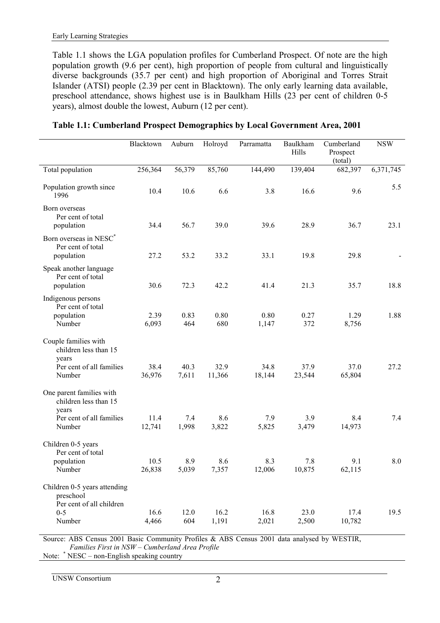<span id="page-11-0"></span>Table 1.1 shows the LGA population profiles for Cumberland Prospect. Of note are the high population growth (9.6 per cent), high proportion of people from cultural and linguistically diverse backgrounds (35.7 per cent) and high proportion of Aboriginal and Torres Strait Islander (ATSI) people (2.39 per cent in Blacktown). The only early learning data available, preschool attendance, shows highest use is in Baulkham Hills (23 per cent of children 0-5 years), almost double the lowest, Auburn (12 per cent).

|                                                                                              | Blacktown      | Auburn        | Holroyd        | Parramatta     | Baulkham<br>Hills | Cumberland<br>Prospect<br>(total) | <b>NSW</b> |
|----------------------------------------------------------------------------------------------|----------------|---------------|----------------|----------------|-------------------|-----------------------------------|------------|
| Total population                                                                             | 256,364        | 56,379        | 85,760         | 144,490        | 139,404           | 682,397                           | 6,371,745  |
| Population growth since<br>1996                                                              | 10.4           | 10.6          | 6.6            | 3.8            | 16.6              | 9.6                               | 5.5        |
| Born overseas<br>Per cent of total<br>population                                             | 34.4           | 56.7          | 39.0           | 39.6           | 28.9              | 36.7                              | 23.1       |
| Born overseas in NESC*<br>Per cent of total<br>population                                    | 27.2           | 53.2          | 33.2           | 33.1           | 19.8              | 29.8                              |            |
| Speak another language<br>Per cent of total<br>population                                    | 30.6           | 72.3          | 42.2           | 41.4           | 21.3              | 35.7                              | 18.8       |
| Indigenous persons<br>Per cent of total<br>population<br>Number                              | 2.39<br>6,093  | 0.83<br>464   | 0.80<br>680    | 0.80<br>1,147  | 0.27<br>372       | 1.29<br>8,756                     | 1.88       |
| Couple families with<br>children less than 15<br>years<br>Per cent of all families<br>Number | 38.4<br>36,976 | 40.3<br>7,611 | 32.9<br>11,366 | 34.8<br>18,144 | 37.9<br>23,544    | 37.0<br>65,804                    | 27.2       |
| One parent families with<br>children less than 15<br>years                                   |                |               |                |                |                   |                                   |            |
| Per cent of all families<br>Number                                                           | 11.4<br>12,741 | 7.4<br>1,998  | 8.6<br>3,822   | 7.9<br>5,825   | 3.9<br>3,479      | 8.4<br>14,973                     | 7.4        |
| Children 0-5 years<br>Per cent of total                                                      |                |               |                |                |                   |                                   |            |
| population<br>Number                                                                         | 10.5<br>26,838 | 8.9<br>5,039  | 8.6<br>7,357   | 8.3<br>12,006  | 7.8<br>10,875     | 9.1<br>62,115                     | 8.0        |
| Children 0-5 years attending<br>preschool<br>Per cent of all children                        |                |               |                |                |                   |                                   |            |
| $0-5$<br>Number                                                                              | 16.6<br>4,466  | 12.0<br>604   | 16.2<br>1,191  | 16.8<br>2,021  | 23.0<br>2,500     | 17.4<br>10,782                    | 19.5       |

| Table 1.1: Cumberland Prospect Demographics by Local Government Area, 2001 |  |  |  |
|----------------------------------------------------------------------------|--|--|--|

Source: ABS Census 2001 Basic Community Profiles & ABS Census 2001 data analysed by WESTIR, *Families First in NSW - Cumberland Area Profile* 

Note:  $*$  NESC – non-English speaking country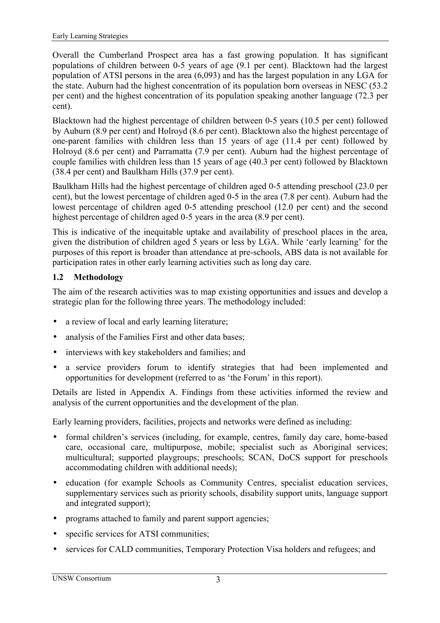<span id="page-12-0"></span>Overall the Cumberland Prospect area has a fast growing population. It has significant populations of children between 0-5 years of age (9.1 per cent). Blacktown had the largest population of ATSI persons in the area (6,093) and has the largest population in any LGA for the state. Auburn had the highest concentration of its population born overseas in NESC (53.2 per cent) and the highest concentration of its population speaking another language (72.3 per cent).

Blacktown had the highest percentage of children between 0-5 years (10.5 per cent) followed by Auburn (8.9 per cent) and Holroyd (8.6 per cent). Blacktown also the highest percentage of one-parent families with children less than 15 years of age (11.4 per cent) followed by Holroyd (8.6 per cent) and Parramatta (7.9 per cent). Auburn had the highest percentage of couple families with children less than 15 years of age (40.3 per cent) followed by Blacktown (38.4 per cent) and Baulkham Hills (37.9 per cent).

Baulkham Hills had the highest percentage of children aged 0-5 attending preschool (23.0 per cent), but the lowest percentage of children aged 0-5 in the area (7.8 per cent). Auburn had the lowest percentage of children aged 0-5 attending preschool (12.0 per cent) and the second highest percentage of children aged 0-5 years in the area (8.9 per cent).

This is indicative of the inequitable uptake and availability of preschool places in the area, given the distribution of children aged 5 years or less by LGA. While 'early learning' for the purposes of this report is broader than attendance at pre-schools, ABS data is not available for participation rates in other early learning activities such as long day care.

### **1.2 Methodology**

The aim of the research activities was to map existing opportunities and issues and develop a strategic plan for the following three years. The methodology included:

- a review of local and early learning literature;
- analysis of the Families First and other data bases;
- interviews with key stakeholders and families; and
- a service providers forum to identify strategies that had been implemented and opportunities for development (referred to as 'the Forum' in this report).

Details are listed in Appendix A. Findings from these activities informed the review and analysis of the current opportunities and the development of the plan.

Early learning providers, facilities, projects and networks were defined as including:

- formal children's services (including, for example, centres, family day care, home-based care, occasional care, multipurpose, mobile; specialist such as Aboriginal services; multicultural; supported playgroups; preschools; SCAN, DoCS support for preschools accommodating children with additional needs);
- education (for example Schools as Community Centres, specialist education services, supplementary services such as priority schools, disability support units, language support and integrated support);
- programs attached to family and parent support agencies;
- specific services for ATSI communities;
- services for CALD communities, Temporary Protection Visa holders and refugees; and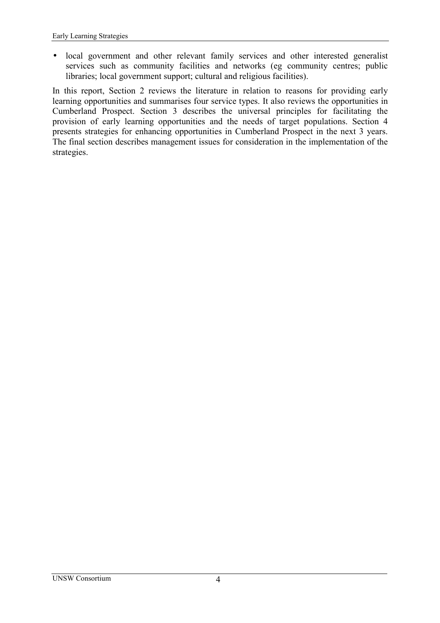• local government and other relevant family services and other interested generalist services such as community facilities and networks (eg community centres; public libraries; local government support; cultural and religious facilities).

In this report, Section 2 reviews the literature in relation to reasons for providing early learning opportunities and summarises four service types. It also reviews the opportunities in Cumberland Prospect. Section 3 describes the universal principles for facilitating the provision of early learning opportunities and the needs of target populations. Section 4 presents strategies for enhancing opportunities in Cumberland Prospect in the next 3 years. The final section describes management issues for consideration in the implementation of the strategies.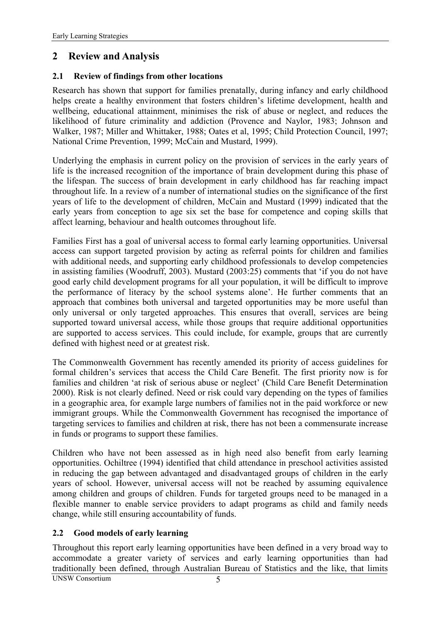### <span id="page-14-0"></span>**2 Review and Analysis**

#### **2.1 Review of findings from other locations**

Research has shown that support for families prenatally, during infancy and early childhood helps create a healthy environment that fosters children's lifetime development, health and wellbeing, educational attainment, minimises the risk of abuse or neglect, and reduces the likelihood of future criminality and addiction (Provence and Naylor, 1983; Johnson and Walker, 1987; Miller and Whittaker, 1988; Oates et al, 1995; Child Protection Council, 1997; National Crime Prevention, 1999; McCain and Mustard, 1999).

Underlying the emphasis in current policy on the provision of services in the early years of life is the increased recognition of the importance of brain development during this phase of the lifespan. The success of brain development in early childhood has far reaching impact throughout life. In a review of a number of international studies on the significance of the first years of life to the development of children, McCain and Mustard (1999) indicated that the early years from conception to age six set the base for competence and coping skills that affect learning, behaviour and health outcomes throughout life.

Families First has a goal of universal access to formal early learning opportunities. Universal access can support targeted provision by acting as referral points for children and families with additional needs, and supporting early childhood professionals to develop competencies in assisting families (Woodruff, 2003). Mustard (2003:25) comments that ëif you do not have good early child development programs for all your population, it will be difficult to improve the performance of literacy by the school systems alone'. He further comments that an approach that combines both universal and targeted opportunities may be more useful than only universal or only targeted approaches. This ensures that overall, services are being supported toward universal access, while those groups that require additional opportunities are supported to access services. This could include, for example, groups that are currently defined with highest need or at greatest risk.

The Commonwealth Government has recently amended its priority of access guidelines for formal children's services that access the Child Care Benefit. The first priority now is for families and children 'at risk of serious abuse or neglect' (Child Care Benefit Determination 2000). Risk is not clearly defined. Need or risk could vary depending on the types of families in a geographic area, for example large numbers of families not in the paid workforce or new immigrant groups. While the Commonwealth Government has recognised the importance of targeting services to families and children at risk, there has not been a commensurate increase in funds or programs to support these families.

Children who have not been assessed as in high need also benefit from early learning opportunities. Ochiltree (1994) identified that child attendance in preschool activities assisted in reducing the gap between advantaged and disadvantaged groups of children in the early years of school. However, universal access will not be reached by assuming equivalence among children and groups of children. Funds for targeted groups need to be managed in a flexible manner to enable service providers to adapt programs as child and family needs change, while still ensuring accountability of funds.

#### **2.2 Good models of early learning**

Throughout this report early learning opportunities have been defined in a very broad way to accommodate a greater variety of services and early learning opportunities than had traditionally been defined, through Australian Bureau of Statistics and the like, that limits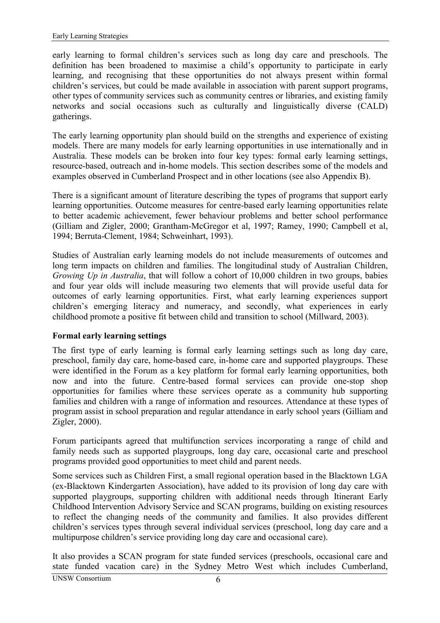<span id="page-15-0"></span>early learning to formal children's services such as long day care and preschools. The definition has been broadened to maximise a child's opportunity to participate in early learning, and recognising that these opportunities do not always present within formal children's services, but could be made available in association with parent support programs, other types of community services such as community centres or libraries, and existing family networks and social occasions such as culturally and linguistically diverse (CALD) gatherings.

The early learning opportunity plan should build on the strengths and experience of existing models. There are many models for early learning opportunities in use internationally and in Australia. These models can be broken into four key types: formal early learning settings, resource-based, outreach and in-home models. This section describes some of the models and examples observed in Cumberland Prospect and in other locations (see also Appendix B).

There is a significant amount of literature describing the types of programs that support early learning opportunities. Outcome measures for centre-based early learning opportunities relate to better academic achievement, fewer behaviour problems and better school performance (Gilliam and Zigler, 2000; Grantham-McGregor et al, 1997; Ramey, 1990; Campbell et al, 1994; Berruta-Clement, 1984; Schweinhart, 1993).

Studies of Australian early learning models do not include measurements of outcomes and long term impacts on children and families. The longitudinal study of Australian Children, *Growing Up in Australia*, that will follow a cohort of 10,000 children in two groups, babies and four year olds will include measuring two elements that will provide useful data for outcomes of early learning opportunities. First, what early learning experiences support children's emerging literacy and numeracy, and secondly, what experiences in early childhood promote a positive fit between child and transition to school (Millward, 2003).

#### **Formal early learning settings**

The first type of early learning is formal early learning settings such as long day care, preschool, family day care, home-based care, in-home care and supported playgroups. These were identified in the Forum as a key platform for formal early learning opportunities, both now and into the future. Centre-based formal services can provide one-stop shop opportunities for families where these services operate as a community hub supporting families and children with a range of information and resources. Attendance at these types of program assist in school preparation and regular attendance in early school years (Gilliam and Zigler, 2000).

Forum participants agreed that multifunction services incorporating a range of child and family needs such as supported playgroups, long day care, occasional carte and preschool programs provided good opportunities to meet child and parent needs.

Some services such as Children First, a small regional operation based in the Blacktown LGA (ex-Blacktown Kindergarten Association), have added to its provision of long day care with supported playgroups, supporting children with additional needs through Itinerant Early Childhood Intervention Advisory Service and SCAN programs, building on existing resources to reflect the changing needs of the community and families. It also provides different children's services types through several individual services (preschool, long day care and a multipurpose children's service providing long day care and occasional care).

It also provides a SCAN program for state funded services (preschools, occasional care and state funded vacation care) in the Sydney Metro West which includes Cumberland,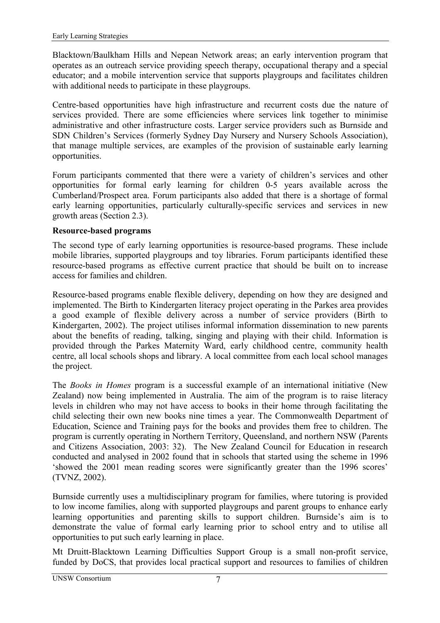<span id="page-16-0"></span>Blacktown/Baulkham Hills and Nepean Network areas; an early intervention program that operates as an outreach service providing speech therapy, occupational therapy and a special educator; and a mobile intervention service that supports playgroups and facilitates children with additional needs to participate in these playgroups.

Centre-based opportunities have high infrastructure and recurrent costs due the nature of services provided. There are some efficiencies where services link together to minimise administrative and other infrastructure costs. Larger service providers such as Burnside and SDN Children's Services (formerly Sydney Day Nursery and Nursery Schools Association), that manage multiple services, are examples of the provision of sustainable early learning opportunities.

Forum participants commented that there were a variety of children's services and other opportunities for formal early learning for children 0-5 years available across the Cumberland/Prospect area. Forum participants also added that there is a shortage of formal early learning opportunities, particularly culturally-specific services and services in new growth areas (Section [2.3\)](#page-18-0).

#### **Resource-based programs**

The second type of early learning opportunities is resource-based programs. These include mobile libraries, supported playgroups and toy libraries. Forum participants identified these resource-based programs as effective current practice that should be built on to increase access for families and children.

Resource-based programs enable flexible delivery, depending on how they are designed and implemented. The Birth to Kindergarten literacy project operating in the Parkes area provides a good example of flexible delivery across a number of service providers (Birth to Kindergarten, 2002). The project utilises informal information dissemination to new parents about the benefits of reading, talking, singing and playing with their child. Information is provided through the Parkes Maternity Ward, early childhood centre, community health centre, all local schools shops and library. A local committee from each local school manages the project.

The *Books in Homes* program is a successful example of an international initiative (New Zealand) now being implemented in Australia. The aim of the program is to raise literacy levels in children who may not have access to books in their home through facilitating the child selecting their own new books nine times a year. The Commonwealth Department of Education, Science and Training pays for the books and provides them free to children. The program is currently operating in Northern Territory, Queensland, and northern NSW (Parents and Citizens Association, 2003: 32). The New Zealand Council for Education in research conducted and analysed in 2002 found that in schools that started using the scheme in 1996 showed the 2001 mean reading scores were significantly greater than the 1996 scores' (TVNZ, 2002).

Burnside currently uses a multidisciplinary program for families, where tutoring is provided to low income families, along with supported playgroups and parent groups to enhance early learning opportunities and parenting skills to support children. Burnside's aim is to demonstrate the value of formal early learning prior to school entry and to utilise all opportunities to put such early learning in place.

Mt Druitt-Blacktown Learning Difficulties Support Group is a small non-profit service, funded by DoCS, that provides local practical support and resources to families of children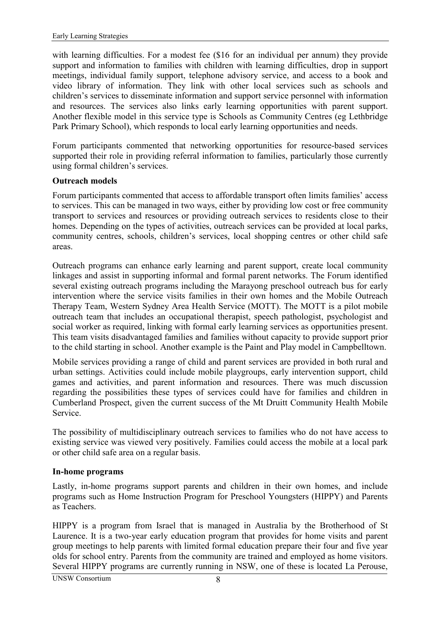<span id="page-17-0"></span>with learning difficulties. For a modest fee (\$16 for an individual per annum) they provide support and information to families with children with learning difficulties, drop in support meetings, individual family support, telephone advisory service, and access to a book and video library of information. They link with other local services such as schools and children's services to disseminate information and support service personnel with information and resources. The services also links early learning opportunities with parent support. Another flexible model in this service type is Schools as Community Centres (eg Lethbridge Park Primary School), which responds to local early learning opportunities and needs.

Forum participants commented that networking opportunities for resource-based services supported their role in providing referral information to families, particularly those currently using formal children's services.

#### **Outreach models**

Forum participants commented that access to affordable transport often limits families' access to services. This can be managed in two ways, either by providing low cost or free community transport to services and resources or providing outreach services to residents close to their homes. Depending on the types of activities, outreach services can be provided at local parks, community centres, schools, children's services, local shopping centres or other child safe areas.

Outreach programs can enhance early learning and parent support, create local community linkages and assist in supporting informal and formal parent networks. The Forum identified several existing outreach programs including the Marayong preschool outreach bus for early intervention where the service visits families in their own homes and the Mobile Outreach Therapy Team, Western Sydney Area Health Service (MOTT). The MOTT is a pilot mobile outreach team that includes an occupational therapist, speech pathologist, psychologist and social worker as required, linking with formal early learning services as opportunities present. This team visits disadvantaged families and families without capacity to provide support prior to the child starting in school. Another example is the Paint and Play model in Campbelltown.

Mobile services providing a range of child and parent services are provided in both rural and urban settings. Activities could include mobile playgroups, early intervention support, child games and activities, and parent information and resources. There was much discussion regarding the possibilities these types of services could have for families and children in Cumberland Prospect, given the current success of the Mt Druitt Community Health Mobile Service.

The possibility of multidisciplinary outreach services to families who do not have access to existing service was viewed very positively. Families could access the mobile at a local park or other child safe area on a regular basis.

#### **In-home programs**

Lastly, in-home programs support parents and children in their own homes, and include programs such as Home Instruction Program for Preschool Youngsters (HIPPY) and Parents as Teachers.

HIPPY is a program from Israel that is managed in Australia by the Brotherhood of St Laurence. It is a two-year early education program that provides for home visits and parent group meetings to help parents with limited formal education prepare their four and five year olds for school entry. Parents from the community are trained and employed as home visitors. Several HIPPY programs are currently running in NSW, one of these is located La Perouse,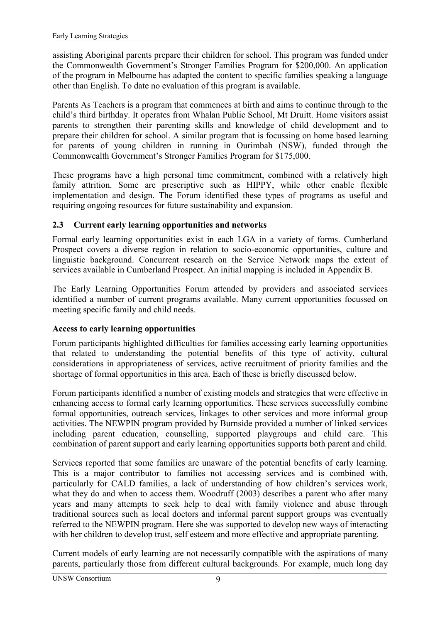<span id="page-18-0"></span>assisting Aboriginal parents prepare their children for school. This program was funded under the Commonwealth Government's Stronger Families Program for \$200,000. An application of the program in Melbourne has adapted the content to specific families speaking a language other than English. To date no evaluation of this program is available.

Parents As Teachers is a program that commences at birth and aims to continue through to the child's third birthday. It operates from Whalan Public School, Mt Druitt. Home visitors assist parents to strengthen their parenting skills and knowledge of child development and to prepare their children for school. A similar program that is focussing on home based learning for parents of young children in running in Ourimbah (NSW), funded through the Commonwealth Government's Stronger Families Program for \$175,000.

These programs have a high personal time commitment, combined with a relatively high family attrition. Some are prescriptive such as HIPPY, while other enable flexible implementation and design. The Forum identified these types of programs as useful and requiring ongoing resources for future sustainability and expansion.

#### **2.3 Current early learning opportunities and networks**

Formal early learning opportunities exist in each LGA in a variety of forms. Cumberland Prospect covers a diverse region in relation to socio-economic opportunities, culture and linguistic background. Concurrent research on the Service Network maps the extent of services available in Cumberland Prospect. An initial mapping is included in Appendix B.

The Early Learning Opportunities Forum attended by providers and associated services identified a number of current programs available. Many current opportunities focussed on meeting specific family and child needs.

#### **Access to early learning opportunities**

Forum participants highlighted difficulties for families accessing early learning opportunities that related to understanding the potential benefits of this type of activity, cultural considerations in appropriateness of services, active recruitment of priority families and the shortage of formal opportunities in this area. Each of these is briefly discussed below.

Forum participants identified a number of existing models and strategies that were effective in enhancing access to formal early learning opportunities. These services successfully combine formal opportunities, outreach services, linkages to other services and more informal group activities. The NEWPIN program provided by Burnside provided a number of linked services including parent education, counselling, supported playgroups and child care. This combination of parent support and early learning opportunities supports both parent and child.

Services reported that some families are unaware of the potential benefits of early learning. This is a major contributor to families not accessing services and is combined with, particularly for CALD families, a lack of understanding of how children's services work, what they do and when to access them. Woodruff (2003) describes a parent who after many years and many attempts to seek help to deal with family violence and abuse through traditional sources such as local doctors and informal parent support groups was eventually referred to the NEWPIN program. Here she was supported to develop new ways of interacting with her children to develop trust, self esteem and more effective and appropriate parenting.

Current models of early learning are not necessarily compatible with the aspirations of many parents, particularly those from different cultural backgrounds. For example, much long day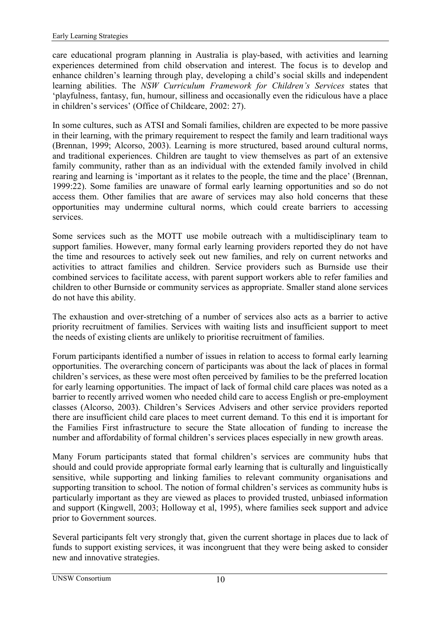care educational program planning in Australia is play-based, with activities and learning experiences determined from child observation and interest. The focus is to develop and enhance children's learning through play, developing a child's social skills and independent learning abilities. The *NSW Curriculum Framework for Children's Services* states that ëplayfulness, fantasy, fun, humour, silliness and occasionally even the ridiculous have a place in children's services' (Office of Childcare, 2002: 27).

In some cultures, such as ATSI and Somali families, children are expected to be more passive in their learning, with the primary requirement to respect the family and learn traditional ways (Brennan, 1999; Alcorso, 2003). Learning is more structured, based around cultural norms, and traditional experiences. Children are taught to view themselves as part of an extensive family community, rather than as an individual with the extended family involved in child rearing and learning is 'important as it relates to the people, the time and the place' (Brennan, 1999:22). Some families are unaware of formal early learning opportunities and so do not access them. Other families that are aware of services may also hold concerns that these opportunities may undermine cultural norms, which could create barriers to accessing services.

Some services such as the MOTT use mobile outreach with a multidisciplinary team to support families. However, many formal early learning providers reported they do not have the time and resources to actively seek out new families, and rely on current networks and activities to attract families and children. Service providers such as Burnside use their combined services to facilitate access, with parent support workers able to refer families and children to other Burnside or community services as appropriate. Smaller stand alone services do not have this ability.

The exhaustion and over-stretching of a number of services also acts as a barrier to active priority recruitment of families. Services with waiting lists and insufficient support to meet the needs of existing clients are unlikely to prioritise recruitment of families.

Forum participants identified a number of issues in relation to access to formal early learning opportunities. The overarching concern of participants was about the lack of places in formal children's services, as these were most often perceived by families to be the preferred location for early learning opportunities. The impact of lack of formal child care places was noted as a barrier to recently arrived women who needed child care to access English or pre-employment classes (Alcorso, 2003). Children's Services Advisers and other service providers reported there are insufficient child care places to meet current demand. To this end it is important for the Families First infrastructure to secure the State allocation of funding to increase the number and affordability of formal children's services places especially in new growth areas.

Many Forum participants stated that formal children's services are community hubs that should and could provide appropriate formal early learning that is culturally and linguistically sensitive, while supporting and linking families to relevant community organisations and supporting transition to school. The notion of formal children's services as community hubs is particularly important as they are viewed as places to provided trusted, unbiased information and support (Kingwell, 2003; Holloway et al, 1995), where families seek support and advice prior to Government sources.

Several participants felt very strongly that, given the current shortage in places due to lack of funds to support existing services, it was incongruent that they were being asked to consider new and innovative strategies.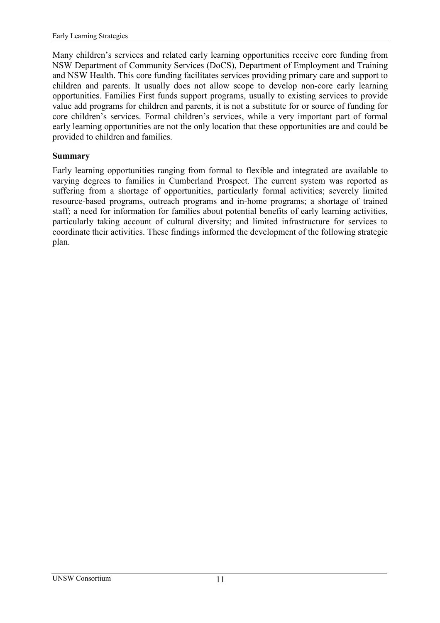<span id="page-20-0"></span>Many children's services and related early learning opportunities receive core funding from NSW Department of Community Services (DoCS), Department of Employment and Training and NSW Health. This core funding facilitates services providing primary care and support to children and parents. It usually does not allow scope to develop non-core early learning opportunities. Families First funds support programs, usually to existing services to provide value add programs for children and parents, it is not a substitute for or source of funding for core children's services. Formal children's services, while a very important part of formal early learning opportunities are not the only location that these opportunities are and could be provided to children and families.

#### **Summary**

Early learning opportunities ranging from formal to flexible and integrated are available to varying degrees to families in Cumberland Prospect. The current system was reported as suffering from a shortage of opportunities, particularly formal activities; severely limited resource-based programs, outreach programs and in-home programs; a shortage of trained staff; a need for information for families about potential benefits of early learning activities, particularly taking account of cultural diversity; and limited infrastructure for services to coordinate their activities. These findings informed the development of the following strategic plan.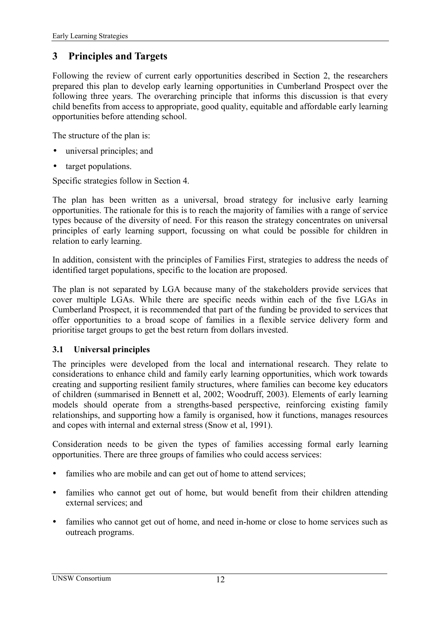## <span id="page-21-0"></span>**3 Principles and Targets**

Following the review of current early opportunities described in Section 2, the researchers prepared this plan to develop early learning opportunities in Cumberland Prospect over the following three years. The overarching principle that informs this discussion is that every child benefits from access to appropriate, good quality, equitable and affordable early learning opportunities before attending school.

The structure of the plan is:

- universal principles; and
- target populations.

Specific strategies follow in Section 4.

The plan has been written as a universal, broad strategy for inclusive early learning opportunities. The rationale for this is to reach the majority of families with a range of service types because of the diversity of need. For this reason the strategy concentrates on universal principles of early learning support, focussing on what could be possible for children in relation to early learning.

In addition, consistent with the principles of Families First, strategies to address the needs of identified target populations, specific to the location are proposed.

The plan is not separated by LGA because many of the stakeholders provide services that cover multiple LGAs. While there are specific needs within each of the five LGAs in Cumberland Prospect, it is recommended that part of the funding be provided to services that offer opportunities to a broad scope of families in a flexible service delivery form and prioritise target groups to get the best return from dollars invested.

#### **3.1 Universal principles**

The principles were developed from the local and international research. They relate to considerations to enhance child and family early learning opportunities, which work towards creating and supporting resilient family structures, where families can become key educators of children (summarised in Bennett et al, 2002; Woodruff, 2003). Elements of early learning models should operate from a strengths-based perspective, reinforcing existing family relationships, and supporting how a family is organised, how it functions, manages resources and copes with internal and external stress (Snow et al, 1991).

Consideration needs to be given the types of families accessing formal early learning opportunities. There are three groups of families who could access services:

- families who are mobile and can get out of home to attend services;
- families who cannot get out of home, but would benefit from their children attending external services; and
- families who cannot get out of home, and need in-home or close to home services such as outreach programs.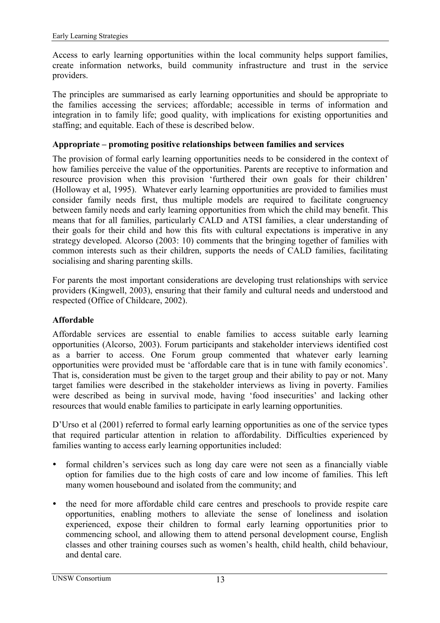<span id="page-22-0"></span>Access to early learning opportunities within the local community helps support families, create information networks, build community infrastructure and trust in the service providers.

The principles are summarised as early learning opportunities and should be appropriate to the families accessing the services; affordable; accessible in terms of information and integration in to family life; good quality, with implications for existing opportunities and staffing; and equitable. Each of these is described below.

#### Appropriate – promoting positive relationships between families and services

The provision of formal early learning opportunities needs to be considered in the context of how families perceive the value of the opportunities. Parents are receptive to information and resource provision when this provision 'furthered their own goals for their children' (Holloway et al, 1995). Whatever early learning opportunities are provided to families must consider family needs first, thus multiple models are required to facilitate congruency between family needs and early learning opportunities from which the child may benefit. This means that for all families, particularly CALD and ATSI families, a clear understanding of their goals for their child and how this fits with cultural expectations is imperative in any strategy developed. Alcorso (2003: 10) comments that the bringing together of families with common interests such as their children, supports the needs of CALD families, facilitating socialising and sharing parenting skills.

For parents the most important considerations are developing trust relationships with service providers (Kingwell, 2003), ensuring that their family and cultural needs and understood and respected (Office of Childcare, 2002).

#### **Affordable**

Affordable services are essential to enable families to access suitable early learning opportunities (Alcorso, 2003). Forum participants and stakeholder interviews identified cost as a barrier to access. One Forum group commented that whatever early learning opportunities were provided must be 'affordable care that is in tune with family economics'. That is, consideration must be given to the target group and their ability to pay or not. Many target families were described in the stakeholder interviews as living in poverty. Families were described as being in survival mode, having 'food insecurities' and lacking other resources that would enable families to participate in early learning opportunities.

D'Urso et al (2001) referred to formal early learning opportunities as one of the service types that required particular attention in relation to affordability. Difficulties experienced by families wanting to access early learning opportunities included:

- formal children's services such as long day care were not seen as a financially viable option for families due to the high costs of care and low income of families. This left many women housebound and isolated from the community; and
- the need for more affordable child care centres and preschools to provide respite care opportunities, enabling mothers to alleviate the sense of loneliness and isolation experienced, expose their children to formal early learning opportunities prior to commencing school, and allowing them to attend personal development course, English classes and other training courses such as women's health, child health, child behaviour, and dental care.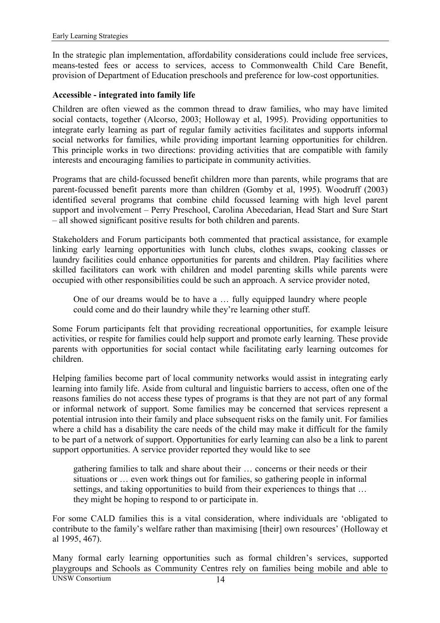<span id="page-23-0"></span>In the strategic plan implementation, affordability considerations could include free services, means-tested fees or access to services, access to Commonwealth Child Care Benefit, provision of Department of Education preschools and preference for low-cost opportunities.

#### **Accessible - integrated into family life**

Children are often viewed as the common thread to draw families, who may have limited social contacts, together (Alcorso, 2003; Holloway et al, 1995). Providing opportunities to integrate early learning as part of regular family activities facilitates and supports informal social networks for families, while providing important learning opportunities for children. This principle works in two directions: providing activities that are compatible with family interests and encouraging families to participate in community activities.

Programs that are child-focussed benefit children more than parents, while programs that are parent-focussed benefit parents more than children (Gomby et al, 1995). Woodruff (2003) identified several programs that combine child focussed learning with high level parent support and involvement – Perry Preschool, Carolina Abecedarian, Head Start and Sure Start – all showed significant positive results for both children and parents.

Stakeholders and Forum participants both commented that practical assistance, for example linking early learning opportunities with lunch clubs, clothes swaps, cooking classes or laundry facilities could enhance opportunities for parents and children. Play facilities where skilled facilitators can work with children and model parenting skills while parents were occupied with other responsibilities could be such an approach. A service provider noted,

One of our dreams would be to have a  $\dots$  fully equipped laundry where people could come and do their laundry while they're learning other stuff.

Some Forum participants felt that providing recreational opportunities, for example leisure activities, or respite for families could help support and promote early learning. These provide parents with opportunities for social contact while facilitating early learning outcomes for children.

Helping families become part of local community networks would assist in integrating early learning into family life. Aside from cultural and linguistic barriers to access, often one of the reasons families do not access these types of programs is that they are not part of any formal or informal network of support. Some families may be concerned that services represent a potential intrusion into their family and place subsequent risks on the family unit. For families where a child has a disability the care needs of the child may make it difficult for the family to be part of a network of support. Opportunities for early learning can also be a link to parent support opportunities. A service provider reported they would like to see

gathering families to talk and share about their  $\ldots$  concerns or their needs or their situations or  $\ldots$  even work things out for families, so gathering people in informal settings, and taking opportunities to build from their experiences to things that ... they might be hoping to respond to or participate in.

For some CALD families this is a vital consideration, where individuals are ëobligated to contribute to the family's welfare rather than maximising [their] own resources' (Holloway et al 1995, 467).

Many formal early learning opportunities such as formal children's services, supported playgroups and Schools as Community Centres rely on families being mobile and able to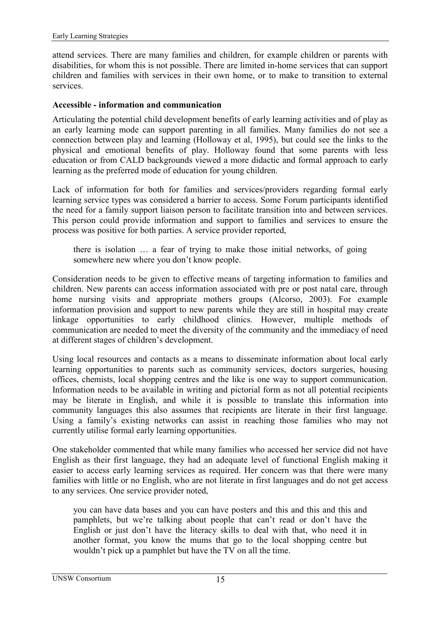<span id="page-24-0"></span>attend services. There are many families and children, for example children or parents with disabilities, for whom this is not possible. There are limited in-home services that can support children and families with services in their own home, or to make to transition to external services.

#### **Accessible - information and communication**

Articulating the potential child development benefits of early learning activities and of play as an early learning mode can support parenting in all families. Many families do not see a connection between play and learning (Holloway et al, 1995), but could see the links to the physical and emotional benefits of play. Holloway found that some parents with less education or from CALD backgrounds viewed a more didactic and formal approach to early learning as the preferred mode of education for young children.

Lack of information for both for families and services/providers regarding formal early learning service types was considered a barrier to access. Some Forum participants identified the need for a family support liaison person to facilitate transition into and between services. This person could provide information and support to families and services to ensure the process was positive for both parties. A service provider reported,

there is isolation  $\ldots$  a fear of trying to make those initial networks, of going somewhere new where you don't know people.

Consideration needs to be given to effective means of targeting information to families and children. New parents can access information associated with pre or post natal care, through home nursing visits and appropriate mothers groups (Alcorso, 2003). For example information provision and support to new parents while they are still in hospital may create linkage opportunities to early childhood clinics. However, multiple methods of communication are needed to meet the diversity of the community and the immediacy of need at different stages of children's development.

Using local resources and contacts as a means to disseminate information about local early learning opportunities to parents such as community services, doctors surgeries, housing offices, chemists, local shopping centres and the like is one way to support communication. Information needs to be available in writing and pictorial form as not all potential recipients may be literate in English, and while it is possible to translate this information into community languages this also assumes that recipients are literate in their first language. Using a family's existing networks can assist in reaching those families who may not currently utilise formal early learning opportunities.

One stakeholder commented that while many families who accessed her service did not have English as their first language, they had an adequate level of functional English making it easier to access early learning services as required. Her concern was that there were many families with little or no English, who are not literate in first languages and do not get access to any services. One service provider noted,

you can have data bases and you can have posters and this and this and this and pamphlets, but we're talking about people that can't read or don't have the English or just don't have the literacy skills to deal with that, who need it in another format, you know the mums that go to the local shopping centre but wouldn't pick up a pamphlet but have the TV on all the time.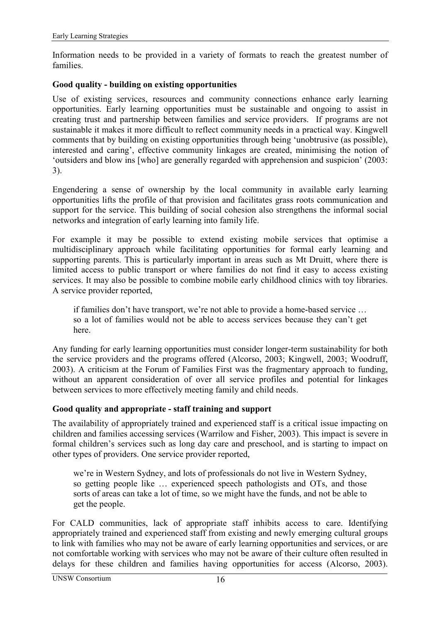<span id="page-25-0"></span>Information needs to be provided in a variety of formats to reach the greatest number of families.

#### **Good quality - building on existing opportunities**

Use of existing services, resources and community connections enhance early learning opportunities. Early learning opportunities must be sustainable and ongoing to assist in creating trust and partnership between families and service providers. If programs are not sustainable it makes it more difficult to reflect community needs in a practical way. Kingwell comments that by building on existing opportunities through being 'unobtrusive (as possible), interested and caring', effective community linkages are created, minimising the notion of 'outsiders and blow ins [who] are generally regarded with apprehension and suspicion' (2003: 3).

Engendering a sense of ownership by the local community in available early learning opportunities lifts the profile of that provision and facilitates grass roots communication and support for the service. This building of social cohesion also strengthens the informal social networks and integration of early learning into family life.

For example it may be possible to extend existing mobile services that optimise a multidisciplinary approach while facilitating opportunities for formal early learning and supporting parents. This is particularly important in areas such as Mt Druitt, where there is limited access to public transport or where families do not find it easy to access existing services. It may also be possible to combine mobile early childhood clinics with toy libraries. A service provider reported,

if families don't have transport, we're not able to provide a home-based service ... so a lot of families would not be able to access services because they can't get here.

Any funding for early learning opportunities must consider longer-term sustainability for both the service providers and the programs offered (Alcorso, 2003; Kingwell, 2003; Woodruff, 2003). A criticism at the Forum of Families First was the fragmentary approach to funding, without an apparent consideration of over all service profiles and potential for linkages between services to more effectively meeting family and child needs.

#### **Good quality and appropriate - staff training and support**

The availability of appropriately trained and experienced staff is a critical issue impacting on children and families accessing services (Warrilow and Fisher, 2003). This impact is severe in formal children's services such as long day care and preschool, and is starting to impact on other types of providers. One service provider reported,

we're in Western Sydney, and lots of professionals do not live in Western Sydney, so getting people like  $\ldots$  experienced speech pathologists and OTs, and those sorts of areas can take a lot of time, so we might have the funds, and not be able to get the people.

For CALD communities, lack of appropriate staff inhibits access to care. Identifying appropriately trained and experienced staff from existing and newly emerging cultural groups to link with families who may not be aware of early learning opportunities and services, or are not comfortable working with services who may not be aware of their culture often resulted in delays for these children and families having opportunities for access (Alcorso, 2003).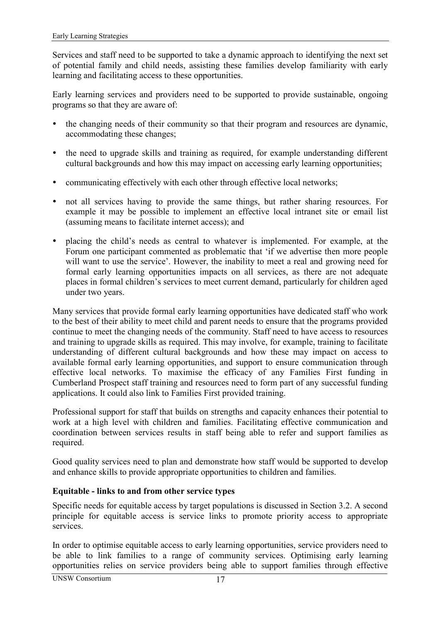<span id="page-26-0"></span>Services and staff need to be supported to take a dynamic approach to identifying the next set of potential family and child needs, assisting these families develop familiarity with early learning and facilitating access to these opportunities.

Early learning services and providers need to be supported to provide sustainable, ongoing programs so that they are aware of:

- ! the changing needs of their community so that their program and resources are dynamic, accommodating these changes;
- ! the need to upgrade skills and training as required, for example understanding different cultural backgrounds and how this may impact on accessing early learning opportunities;
- ! communicating effectively with each other through effective local networks;
- ! not all services having to provide the same things, but rather sharing resources. For example it may be possible to implement an effective local intranet site or email list (assuming means to facilitate internet access); and
- placing the child's needs as central to whatever is implemented. For example, at the Forum one participant commented as problematic that ëif we advertise then more people will want to use the service'. However, the inability to meet a real and growing need for formal early learning opportunities impacts on all services, as there are not adequate places in formal children's services to meet current demand, particularly for children aged under two years.

Many services that provide formal early learning opportunities have dedicated staff who work to the best of their ability to meet child and parent needs to ensure that the programs provided continue to meet the changing needs of the community. Staff need to have access to resources and training to upgrade skills as required. This may involve, for example, training to facilitate understanding of different cultural backgrounds and how these may impact on access to available formal early learning opportunities, and support to ensure communication through effective local networks. To maximise the efficacy of any Families First funding in Cumberland Prospect staff training and resources need to form part of any successful funding applications. It could also link to Families First provided training.

Professional support for staff that builds on strengths and capacity enhances their potential to work at a high level with children and families. Facilitating effective communication and coordination between services results in staff being able to refer and support families as required.

Good quality services need to plan and demonstrate how staff would be supported to develop and enhance skills to provide appropriate opportunities to children and families.

#### **Equitable - links to and from other service types**

Specific needs for equitable access by target populations is discussed in Section [3.2.](#page-28-0) A second principle for equitable access is service links to promote priority access to appropriate services.

In order to optimise equitable access to early learning opportunities, service providers need to be able to link families to a range of community services. Optimising early learning opportunities relies on service providers being able to support families through effective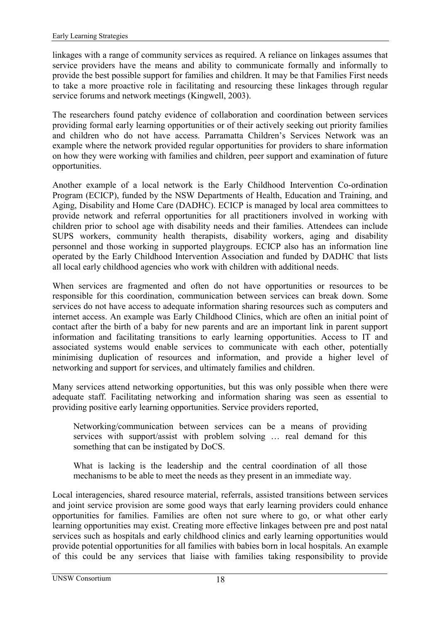linkages with a range of community services as required. A reliance on linkages assumes that service providers have the means and ability to communicate formally and informally to provide the best possible support for families and children. It may be that Families First needs to take a more proactive role in facilitating and resourcing these linkages through regular service forums and network meetings (Kingwell, 2003).

The researchers found patchy evidence of collaboration and coordination between services providing formal early learning opportunities or of their actively seeking out priority families and children who do not have access. Parramatta Children's Services Network was an example where the network provided regular opportunities for providers to share information on how they were working with families and children, peer support and examination of future opportunities.

Another example of a local network is the Early Childhood Intervention Co-ordination Program (ECICP), funded by the NSW Departments of Health, Education and Training, and Aging, Disability and Home Care (DADHC). ECICP is managed by local area committees to provide network and referral opportunities for all practitioners involved in working with children prior to school age with disability needs and their families. Attendees can include SUPS workers, community health therapists, disability workers, aging and disability personnel and those working in supported playgroups. ECICP also has an information line operated by the Early Childhood Intervention Association and funded by DADHC that lists all local early childhood agencies who work with children with additional needs.

When services are fragmented and often do not have opportunities or resources to be responsible for this coordination, communication between services can break down. Some services do not have access to adequate information sharing resources such as computers and internet access. An example was Early Childhood Clinics, which are often an initial point of contact after the birth of a baby for new parents and are an important link in parent support information and facilitating transitions to early learning opportunities. Access to IT and associated systems would enable services to communicate with each other, potentially minimising duplication of resources and information, and provide a higher level of networking and support for services, and ultimately families and children.

Many services attend networking opportunities, but this was only possible when there were adequate staff. Facilitating networking and information sharing was seen as essential to providing positive early learning opportunities. Service providers reported,

Networking/communication between services can be a means of providing services with support/assist with problem solving ... real demand for this something that can be instigated by DoCS.

What is lacking is the leadership and the central coordination of all those mechanisms to be able to meet the needs as they present in an immediate way.

Local interagencies, shared resource material, referrals, assisted transitions between services and joint service provision are some good ways that early learning providers could enhance opportunities for families. Families are often not sure where to go, or what other early learning opportunities may exist. Creating more effective linkages between pre and post natal services such as hospitals and early childhood clinics and early learning opportunities would provide potential opportunities for all families with babies born in local hospitals. An example of this could be any services that liaise with families taking responsibility to provide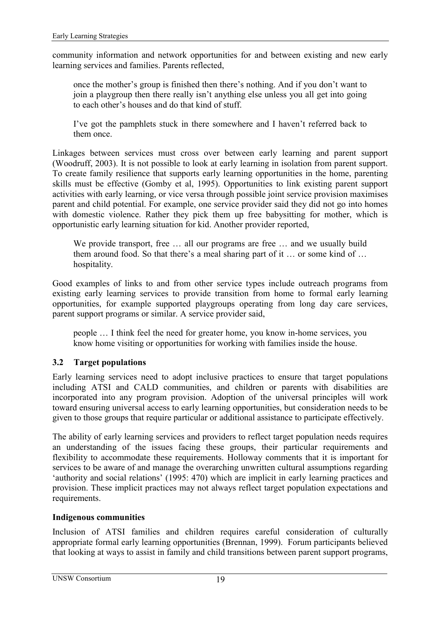<span id="page-28-0"></span>community information and network opportunities for and between existing and new early learning services and families. Parents reflected,

once the mother's group is finished then there's nothing. And if you don't want to join a playgroup then there really isn't anything else unless you all get into going to each other's houses and do that kind of stuff.

I've got the pamphlets stuck in there somewhere and I haven't referred back to them once.

Linkages between services must cross over between early learning and parent support (Woodruff, 2003). It is not possible to look at early learning in isolation from parent support. To create family resilience that supports early learning opportunities in the home, parenting skills must be effective (Gomby et al, 1995). Opportunities to link existing parent support activities with early learning, or vice versa through possible joint service provision maximises parent and child potential. For example, one service provider said they did not go into homes with domestic violence. Rather they pick them up free babysitting for mother, which is opportunistic early learning situation for kid. Another provider reported,

We provide transport, free ... all our programs are free ... and we usually build them around food. So that there's a meal sharing part of it  $\ldots$  or some kind of  $\ldots$ hospitality.

Good examples of links to and from other service types include outreach programs from existing early learning services to provide transition from home to formal early learning opportunities, for example supported playgroups operating from long day care services, parent support programs or similar. A service provider said,

people  $\ldots$  I think feel the need for greater home, you know in-home services, you know home visiting or opportunities for working with families inside the house.

#### **3.2 Target populations**

Early learning services need to adopt inclusive practices to ensure that target populations including ATSI and CALD communities, and children or parents with disabilities are incorporated into any program provision. Adoption of the universal principles will work toward ensuring universal access to early learning opportunities, but consideration needs to be given to those groups that require particular or additional assistance to participate effectively.

The ability of early learning services and providers to reflect target population needs requires an understanding of the issues facing these groups, their particular requirements and flexibility to accommodate these requirements. Holloway comments that it is important for services to be aware of and manage the overarching unwritten cultural assumptions regarding 'authority and social relations'  $(1995: 470)$  which are implicit in early learning practices and provision. These implicit practices may not always reflect target population expectations and requirements.

#### **Indigenous communities**

Inclusion of ATSI families and children requires careful consideration of culturally appropriate formal early learning opportunities (Brennan, 1999). Forum participants believed that looking at ways to assist in family and child transitions between parent support programs,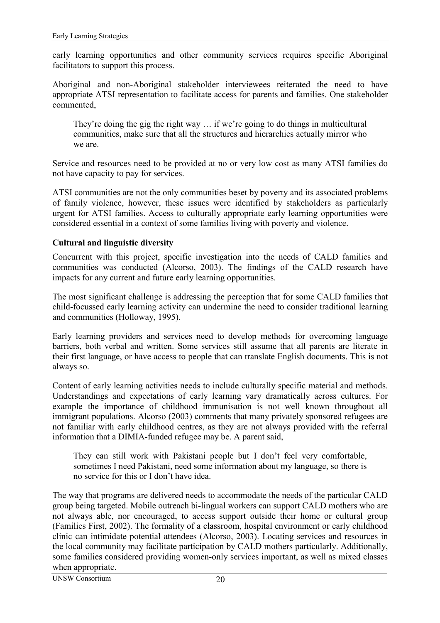<span id="page-29-0"></span>early learning opportunities and other community services requires specific Aboriginal facilitators to support this process.

Aboriginal and non-Aboriginal stakeholder interviewees reiterated the need to have appropriate ATSI representation to facilitate access for parents and families. One stakeholder commented,

They're doing the gig the right way  $\ldots$  if we're going to do things in multicultural communities, make sure that all the structures and hierarchies actually mirror who we are.

Service and resources need to be provided at no or very low cost as many ATSI families do not have capacity to pay for services.

ATSI communities are not the only communities beset by poverty and its associated problems of family violence, however, these issues were identified by stakeholders as particularly urgent for ATSI families. Access to culturally appropriate early learning opportunities were considered essential in a context of some families living with poverty and violence.

#### **Cultural and linguistic diversity**

Concurrent with this project, specific investigation into the needs of CALD families and communities was conducted (Alcorso, 2003). The findings of the CALD research have impacts for any current and future early learning opportunities.

The most significant challenge is addressing the perception that for some CALD families that child-focussed early learning activity can undermine the need to consider traditional learning and communities (Holloway, 1995).

Early learning providers and services need to develop methods for overcoming language barriers, both verbal and written. Some services still assume that all parents are literate in their first language, or have access to people that can translate English documents. This is not always so.

Content of early learning activities needs to include culturally specific material and methods. Understandings and expectations of early learning vary dramatically across cultures. For example the importance of childhood immunisation is not well known throughout all immigrant populations. Alcorso (2003) comments that many privately sponsored refugees are not familiar with early childhood centres, as they are not always provided with the referral information that a DIMIA-funded refugee may be. A parent said,

They can still work with Pakistani people but I don't feel very comfortable, sometimes I need Pakistani, need some information about my language, so there is no service for this or I don't have idea.

The way that programs are delivered needs to accommodate the needs of the particular CALD group being targeted. Mobile outreach bi-lingual workers can support CALD mothers who are not always able, nor encouraged, to access support outside their home or cultural group (Families First, 2002). The formality of a classroom, hospital environment or early childhood clinic can intimidate potential attendees (Alcorso, 2003). Locating services and resources in the local community may facilitate participation by CALD mothers particularly. Additionally, some families considered providing women-only services important, as well as mixed classes when appropriate.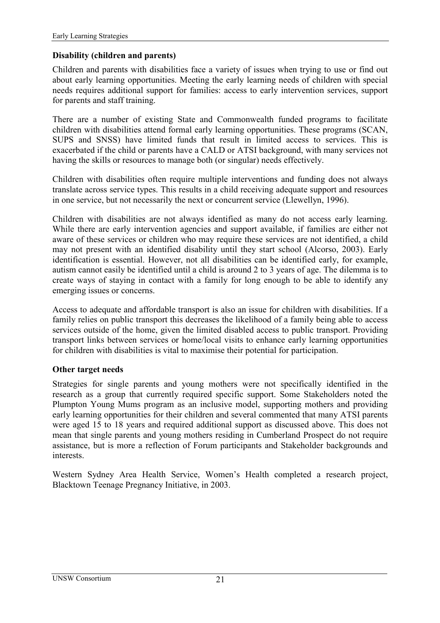#### <span id="page-30-0"></span>**Disability (children and parents)**

Children and parents with disabilities face a variety of issues when trying to use or find out about early learning opportunities. Meeting the early learning needs of children with special needs requires additional support for families: access to early intervention services, support for parents and staff training.

There are a number of existing State and Commonwealth funded programs to facilitate children with disabilities attend formal early learning opportunities. These programs (SCAN, SUPS and SNSS) have limited funds that result in limited access to services. This is exacerbated if the child or parents have a CALD or ATSI background, with many services not having the skills or resources to manage both (or singular) needs effectively.

Children with disabilities often require multiple interventions and funding does not always translate across service types. This results in a child receiving adequate support and resources in one service, but not necessarily the next or concurrent service (Llewellyn, 1996).

Children with disabilities are not always identified as many do not access early learning. While there are early intervention agencies and support available, if families are either not aware of these services or children who may require these services are not identified, a child may not present with an identified disability until they start school (Alcorso, 2003). Early identification is essential. However, not all disabilities can be identified early, for example, autism cannot easily be identified until a child is around 2 to 3 years of age. The dilemma is to create ways of staying in contact with a family for long enough to be able to identify any emerging issues or concerns.

Access to adequate and affordable transport is also an issue for children with disabilities. If a family relies on public transport this decreases the likelihood of a family being able to access services outside of the home, given the limited disabled access to public transport. Providing transport links between services or home/local visits to enhance early learning opportunities for children with disabilities is vital to maximise their potential for participation.

#### **Other target needs**

Strategies for single parents and young mothers were not specifically identified in the research as a group that currently required specific support. Some Stakeholders noted the Plumpton Young Mums program as an inclusive model, supporting mothers and providing early learning opportunities for their children and several commented that many ATSI parents were aged 15 to 18 years and required additional support as discussed above. This does not mean that single parents and young mothers residing in Cumberland Prospect do not require assistance, but is more a reflection of Forum participants and Stakeholder backgrounds and interests.

Western Sydney Area Health Service, Women's Health completed a research project, Blacktown Teenage Pregnancy Initiative, in 2003.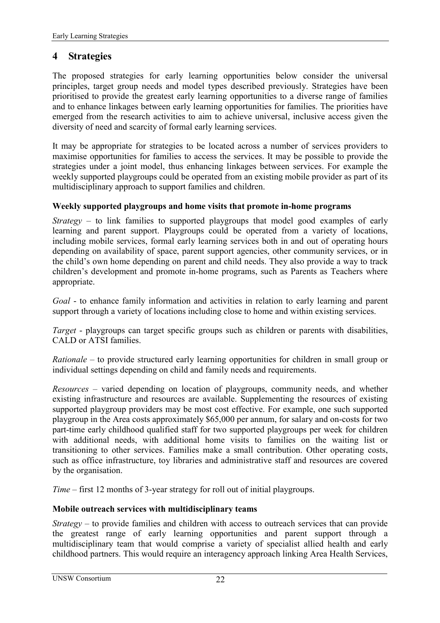### <span id="page-31-0"></span>**4 Strategies**

The proposed strategies for early learning opportunities below consider the universal principles, target group needs and model types described previously. Strategies have been prioritised to provide the greatest early learning opportunities to a diverse range of families and to enhance linkages between early learning opportunities for families. The priorities have emerged from the research activities to aim to achieve universal, inclusive access given the diversity of need and scarcity of formal early learning services.

It may be appropriate for strategies to be located across a number of services providers to maximise opportunities for families to access the services. It may be possible to provide the strategies under a joint model, thus enhancing linkages between services. For example the weekly supported playgroups could be operated from an existing mobile provider as part of its multidisciplinary approach to support families and children.

#### **Weekly supported playgroups and home visits that promote in-home programs**

*Strategy* – to link families to supported playgroups that model good examples of early learning and parent support. Playgroups could be operated from a variety of locations, including mobile services, formal early learning services both in and out of operating hours depending on availability of space, parent support agencies, other community services, or in the child's own home depending on parent and child needs. They also provide a way to track children's development and promote in-home programs, such as Parents as Teachers where appropriate.

*Goal* - to enhance family information and activities in relation to early learning and parent support through a variety of locations including close to home and within existing services.

*Target* - playgroups can target specific groups such as children or parents with disabilities, CALD or ATSI families.

*Rationale* – to provide structured early learning opportunities for children in small group or individual settings depending on child and family needs and requirements.

*Resources* – varied depending on location of playgroups, community needs, and whether existing infrastructure and resources are available. Supplementing the resources of existing supported playgroup providers may be most cost effective. For example, one such supported playgroup in the Area costs approximately \$65,000 per annum, for salary and on-costs for two part-time early childhood qualified staff for two supported playgroups per week for children with additional needs, with additional home visits to families on the waiting list or transitioning to other services. Families make a small contribution. Other operating costs, such as office infrastructure, toy libraries and administrative staff and resources are covered by the organisation.

*Time* – first 12 months of 3-year strategy for roll out of initial playgroups.

#### **Mobile outreach services with multidisciplinary teams**

*Strategy* – to provide families and children with access to outreach services that can provide the greatest range of early learning opportunities and parent support through a multidisciplinary team that would comprise a variety of specialist allied health and early childhood partners. This would require an interagency approach linking Area Health Services,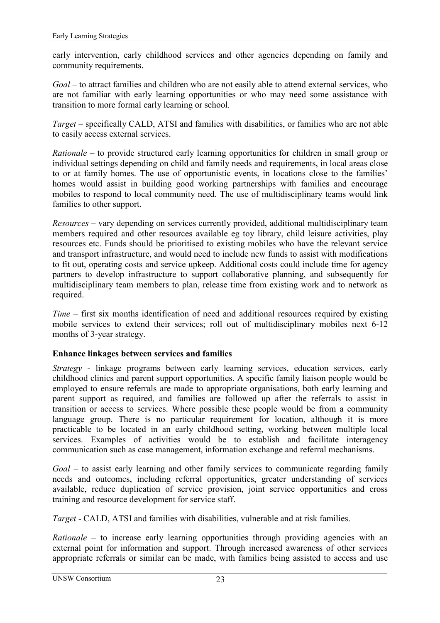<span id="page-32-0"></span>early intervention, early childhood services and other agencies depending on family and community requirements.

*Goal* – to attract families and children who are not easily able to attend external services, who are not familiar with early learning opportunities or who may need some assistance with transition to more formal early learning or school.

*Target* – specifically CALD, ATSI and families with disabilities, or families who are not able to easily access external services.

*Rationale* – to provide structured early learning opportunities for children in small group or individual settings depending on child and family needs and requirements, in local areas close to or at family homes. The use of opportunistic events, in locations close to the families' homes would assist in building good working partnerships with families and encourage mobiles to respond to local community need. The use of multidisciplinary teams would link families to other support.

*Resources* – vary depending on services currently provided, additional multidisciplinary team members required and other resources available eg toy library, child leisure activities, play resources etc. Funds should be prioritised to existing mobiles who have the relevant service and transport infrastructure, and would need to include new funds to assist with modifications to fit out, operating costs and service upkeep. Additional costs could include time for agency partners to develop infrastructure to support collaborative planning, and subsequently for multidisciplinary team members to plan, release time from existing work and to network as required.

*Time* – first six months identification of need and additional resources required by existing mobile services to extend their services; roll out of multidisciplinary mobiles next 6-12 months of 3-year strategy.

#### **Enhance linkages between services and families**

*Strategy* - linkage programs between early learning services, education services, early childhood clinics and parent support opportunities. A specific family liaison people would be employed to ensure referrals are made to appropriate organisations, both early learning and parent support as required, and families are followed up after the referrals to assist in transition or access to services. Where possible these people would be from a community language group. There is no particular requirement for location, although it is more practicable to be located in an early childhood setting, working between multiple local services. Examples of activities would be to establish and facilitate interagency communication such as case management, information exchange and referral mechanisms.

*Goal* – to assist early learning and other family services to communicate regarding family needs and outcomes, including referral opportunities, greater understanding of services available, reduce duplication of service provision, joint service opportunities and cross training and resource development for service staff.

*Target* - CALD, ATSI and families with disabilities, vulnerable and at risk families.

*Rationale* – to increase early learning opportunities through providing agencies with an external point for information and support. Through increased awareness of other services appropriate referrals or similar can be made, with families being assisted to access and use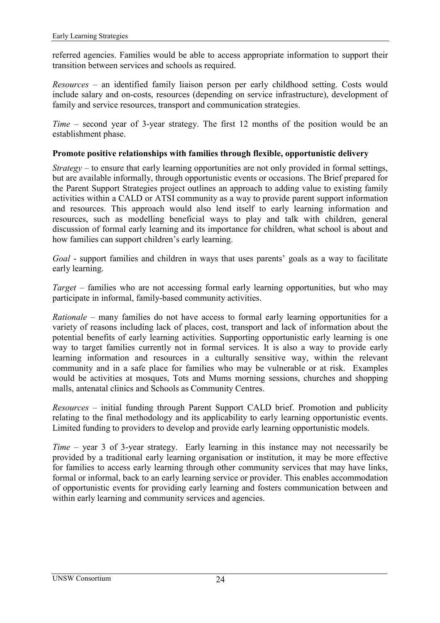<span id="page-33-0"></span>referred agencies. Families would be able to access appropriate information to support their transition between services and schools as required.

*Resources* – an identified family liaison person per early childhood setting. Costs would include salary and on-costs, resources (depending on service infrastructure), development of family and service resources, transport and communication strategies.

*Time* – second year of 3-year strategy. The first 12 months of the position would be an establishment phase.

#### **Promote positive relationships with families through flexible, opportunistic delivery**

*Strategy* – to ensure that early learning opportunities are not only provided in formal settings, but are available informally, through opportunistic events or occasions. The Brief prepared for the Parent Support Strategies project outlines an approach to adding value to existing family activities within a CALD or ATSI community as a way to provide parent support information and resources. This approach would also lend itself to early learning information and resources, such as modelling beneficial ways to play and talk with children, general discussion of formal early learning and its importance for children, what school is about and how families can support children's early learning.

*Goal* - support families and children in ways that uses parents' goals as a way to facilitate early learning.

*Target* – families who are not accessing formal early learning opportunities, but who may participate in informal, family-based community activities.

*Rationale* – many families do not have access to formal early learning opportunities for a variety of reasons including lack of places, cost, transport and lack of information about the potential benefits of early learning activities. Supporting opportunistic early learning is one way to target families currently not in formal services. It is also a way to provide early learning information and resources in a culturally sensitive way, within the relevant community and in a safe place for families who may be vulnerable or at risk. Examples would be activities at mosques, Tots and Mums morning sessions, churches and shopping malls, antenatal clinics and Schools as Community Centres.

*Resources* – initial funding through Parent Support CALD brief. Promotion and publicity relating to the final methodology and its applicability to early learning opportunistic events. Limited funding to providers to develop and provide early learning opportunistic models.

*Time* – year 3 of 3-year strategy. Early learning in this instance may not necessarily be provided by a traditional early learning organisation or institution, it may be more effective for families to access early learning through other community services that may have links, formal or informal, back to an early learning service or provider. This enables accommodation of opportunistic events for providing early learning and fosters communication between and within early learning and community services and agencies.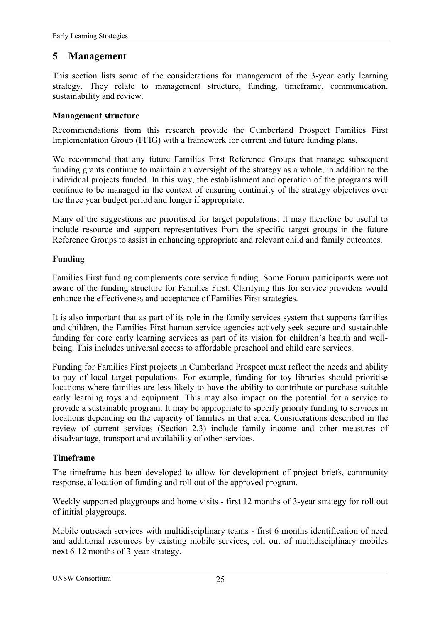### <span id="page-34-0"></span>**5 Management**

This section lists some of the considerations for management of the 3-year early learning strategy. They relate to management structure, funding, timeframe, communication, sustainability and review.

#### **Management structure**

Recommendations from this research provide the Cumberland Prospect Families First Implementation Group (FFIG) with a framework for current and future funding plans.

We recommend that any future Families First Reference Groups that manage subsequent funding grants continue to maintain an oversight of the strategy as a whole, in addition to the individual projects funded. In this way, the establishment and operation of the programs will continue to be managed in the context of ensuring continuity of the strategy objectives over the three year budget period and longer if appropriate.

Many of the suggestions are prioritised for target populations. It may therefore be useful to include resource and support representatives from the specific target groups in the future Reference Groups to assist in enhancing appropriate and relevant child and family outcomes.

#### **Funding**

Families First funding complements core service funding. Some Forum participants were not aware of the funding structure for Families First. Clarifying this for service providers would enhance the effectiveness and acceptance of Families First strategies.

It is also important that as part of its role in the family services system that supports families and children, the Families First human service agencies actively seek secure and sustainable funding for core early learning services as part of its vision for children's health and wellbeing. This includes universal access to affordable preschool and child care services.

Funding for Families First projects in Cumberland Prospect must reflect the needs and ability to pay of local target populations. For example, funding for toy libraries should prioritise locations where families are less likely to have the ability to contribute or purchase suitable early learning toys and equipment. This may also impact on the potential for a service to provide a sustainable program. It may be appropriate to specify priority funding to services in locations depending on the capacity of families in that area. Considerations described in the review of current services (Section [2.3\)](#page-18-0) include family income and other measures of disadvantage, transport and availability of other services.

#### **Timeframe**

The timeframe has been developed to allow for development of project briefs, community response, allocation of funding and roll out of the approved program.

Weekly supported playgroups and home visits - first 12 months of 3-year strategy for roll out of initial playgroups.

Mobile outreach services with multidisciplinary teams - first 6 months identification of need and additional resources by existing mobile services, roll out of multidisciplinary mobiles next 6-12 months of 3-year strategy.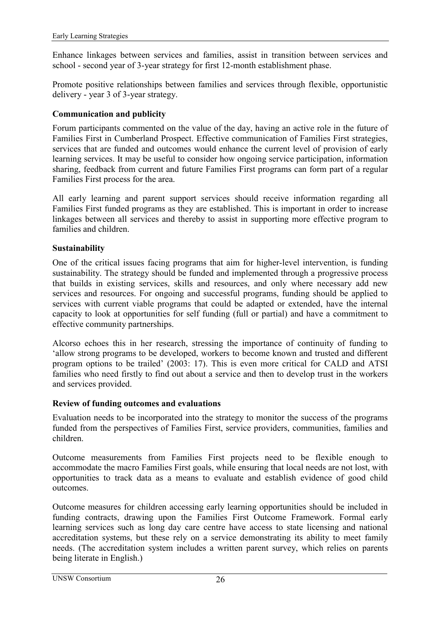<span id="page-35-0"></span>Enhance linkages between services and families, assist in transition between services and school - second year of 3-year strategy for first 12-month establishment phase.

Promote positive relationships between families and services through flexible, opportunistic delivery - year 3 of 3-year strategy.

#### **Communication and publicity**

Forum participants commented on the value of the day, having an active role in the future of Families First in Cumberland Prospect. Effective communication of Families First strategies, services that are funded and outcomes would enhance the current level of provision of early learning services. It may be useful to consider how ongoing service participation, information sharing, feedback from current and future Families First programs can form part of a regular Families First process for the area.

All early learning and parent support services should receive information regarding all Families First funded programs as they are established. This is important in order to increase linkages between all services and thereby to assist in supporting more effective program to families and children.

#### **Sustainability**

One of the critical issues facing programs that aim for higher-level intervention, is funding sustainability. The strategy should be funded and implemented through a progressive process that builds in existing services, skills and resources, and only where necessary add new services and resources. For ongoing and successful programs, funding should be applied to services with current viable programs that could be adapted or extended, have the internal capacity to look at opportunities for self funding (full or partial) and have a commitment to effective community partnerships.

Alcorso echoes this in her research, stressing the importance of continuity of funding to ëallow strong programs to be developed, workers to become known and trusted and different program options to be trailed'  $(2003: 17)$ . This is even more critical for CALD and ATSI families who need firstly to find out about a service and then to develop trust in the workers and services provided.

#### **Review of funding outcomes and evaluations**

Evaluation needs to be incorporated into the strategy to monitor the success of the programs funded from the perspectives of Families First, service providers, communities, families and children.

Outcome measurements from Families First projects need to be flexible enough to accommodate the macro Families First goals, while ensuring that local needs are not lost, with opportunities to track data as a means to evaluate and establish evidence of good child outcomes.

Outcome measures for children accessing early learning opportunities should be included in funding contracts, drawing upon the Families First Outcome Framework. Formal early learning services such as long day care centre have access to state licensing and national accreditation systems, but these rely on a service demonstrating its ability to meet family needs. (The accreditation system includes a written parent survey, which relies on parents being literate in English.)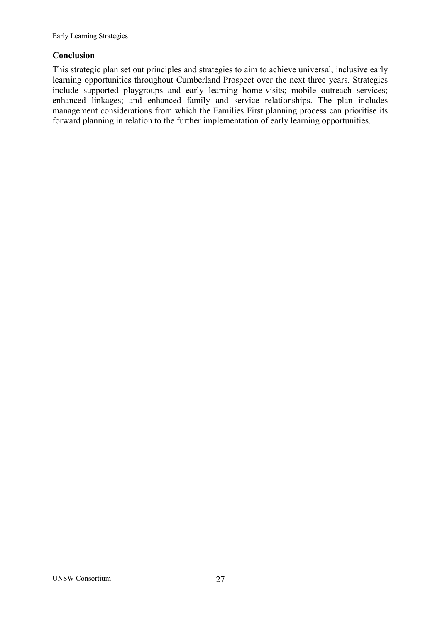#### <span id="page-36-0"></span>**Conclusion**

This strategic plan set out principles and strategies to aim to achieve universal, inclusive early learning opportunities throughout Cumberland Prospect over the next three years. Strategies include supported playgroups and early learning home-visits; mobile outreach services; enhanced linkages; and enhanced family and service relationships. The plan includes management considerations from which the Families First planning process can prioritise its forward planning in relation to the further implementation of early learning opportunities.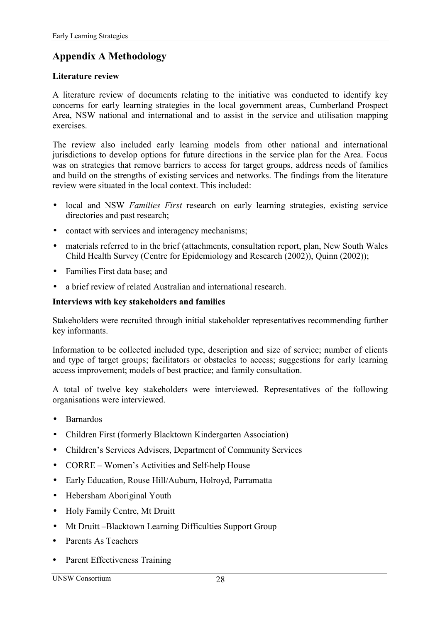# <span id="page-37-0"></span>**Appendix A Methodology**

#### **Literature review**

A literature review of documents relating to the initiative was conducted to identify key concerns for early learning strategies in the local government areas, Cumberland Prospect Area, NSW national and international and to assist in the service and utilisation mapping exercises.

The review also included early learning models from other national and international jurisdictions to develop options for future directions in the service plan for the Area. Focus was on strategies that remove barriers to access for target groups, address needs of families and build on the strengths of existing services and networks. The findings from the literature review were situated in the local context. This included:

- local and NSW *Families First* research on early learning strategies, existing service directories and past research;
- contact with services and interagency mechanisms;
- materials referred to in the brief (attachments, consultation report, plan, New South Wales Child Health Survey (Centre for Epidemiology and Research (2002)), Quinn (2002));
- Families First data base: and
- a brief review of related Australian and international research.

#### **Interviews with key stakeholders and families**

Stakeholders were recruited through initial stakeholder representatives recommending further key informants.

Information to be collected included type, description and size of service; number of clients and type of target groups; facilitators or obstacles to access; suggestions for early learning access improvement; models of best practice; and family consultation.

A total of twelve key stakeholders were interviewed. Representatives of the following organisations were interviewed.

- Barnardos
- Children First (formerly Blacktown Kindergarten Association)
- Children's Services Advisers, Department of Community Services
- $CORRE Women's Activities and Self-help House$
- Early Education, Rouse Hill/Auburn, Holroyd, Parramatta
- Hebersham Aboriginal Youth
- Holy Family Centre, Mt Druitt
- Mt Druitt Blacktown Learning Difficulties Support Group
- ! Parents As Teachers
- **Parent Effectiveness Training**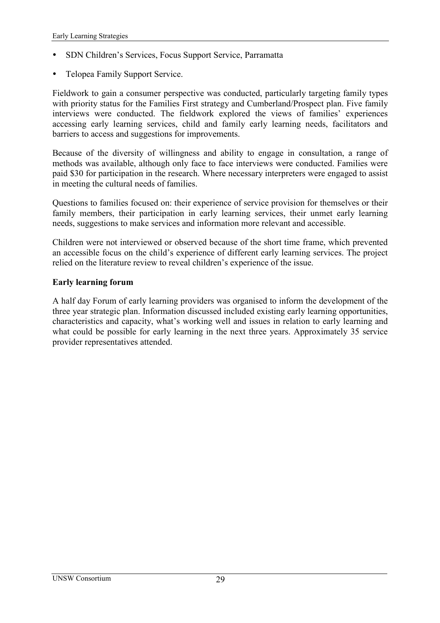- ! SDN Childrenís Services, Focus Support Service, Parramatta
- ! Telopea Family Support Service.

Fieldwork to gain a consumer perspective was conducted, particularly targeting family types with priority status for the Families First strategy and Cumberland/Prospect plan. Five family interviews were conducted. The fieldwork explored the views of families' experiences accessing early learning services, child and family early learning needs, facilitators and barriers to access and suggestions for improvements.

Because of the diversity of willingness and ability to engage in consultation, a range of methods was available, although only face to face interviews were conducted. Families were paid \$30 for participation in the research. Where necessary interpreters were engaged to assist in meeting the cultural needs of families.

Questions to families focused on: their experience of service provision for themselves or their family members, their participation in early learning services, their unmet early learning needs, suggestions to make services and information more relevant and accessible.

Children were not interviewed or observed because of the short time frame, which prevented an accessible focus on the child's experience of different early learning services. The project relied on the literature review to reveal children's experience of the issue.

#### **Early learning forum**

A half day Forum of early learning providers was organised to inform the development of the three year strategic plan. Information discussed included existing early learning opportunities, characteristics and capacity, what's working well and issues in relation to early learning and what could be possible for early learning in the next three years. Approximately 35 service provider representatives attended.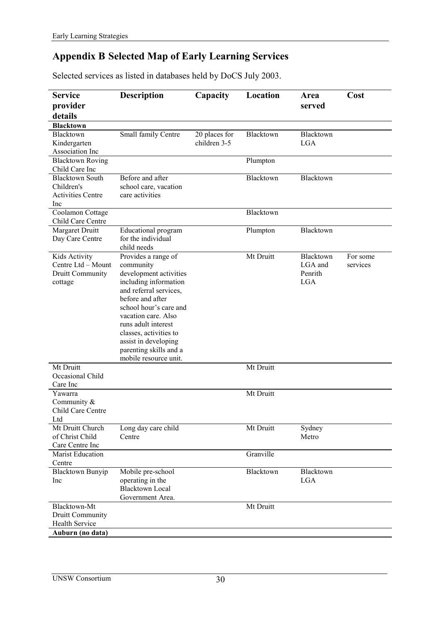# <span id="page-39-0"></span>**Appendix B Selected Map of Early Learning Services**

Selected services as listed in databases held by DoCS July 2003.

| <b>Service</b>                                                                                                  | <b>Description</b>                                                                                                                                                                                                                                                                                             | Capacity                      | Location               | Area                                          | Cost                 |
|-----------------------------------------------------------------------------------------------------------------|----------------------------------------------------------------------------------------------------------------------------------------------------------------------------------------------------------------------------------------------------------------------------------------------------------------|-------------------------------|------------------------|-----------------------------------------------|----------------------|
| provider                                                                                                        |                                                                                                                                                                                                                                                                                                                |                               |                        | served                                        |                      |
| details                                                                                                         |                                                                                                                                                                                                                                                                                                                |                               |                        |                                               |                      |
| <b>Blacktown</b>                                                                                                |                                                                                                                                                                                                                                                                                                                |                               |                        |                                               |                      |
| Blacktown<br>Kindergarten<br>Association Inc                                                                    | Small family Centre                                                                                                                                                                                                                                                                                            | 20 places for<br>children 3-5 | Blacktown              | Blacktown<br><b>LGA</b>                       |                      |
| <b>Blacktown Roving</b><br>Child Care Inc                                                                       |                                                                                                                                                                                                                                                                                                                |                               | Plumpton               |                                               |                      |
| <b>Blacktown South</b><br>Children's<br><b>Activities Centre</b><br>Inc                                         | Before and after<br>school care, vacation<br>care activities                                                                                                                                                                                                                                                   |                               | Blacktown              | Blacktown                                     |                      |
| Coolamon Cottage<br>Child Care Centre                                                                           |                                                                                                                                                                                                                                                                                                                |                               | Blacktown              |                                               |                      |
| Margaret Druitt<br>Day Care Centre                                                                              | Educational program<br>for the individual<br>child needs                                                                                                                                                                                                                                                       |                               | Plumpton               | Blacktown                                     |                      |
| Kids Activity<br>Centre Ltd - Mount<br>Druitt Community<br>cottage<br>Mt Druitt<br>Occasional Child<br>Care Inc | Provides a range of<br>community<br>development activities<br>including information<br>and referral services.<br>before and after<br>school hour's care and<br>vacation care. Also<br>runs adult interest<br>classes, activities to<br>assist in developing<br>parenting skills and a<br>mobile resource unit. |                               | Mt Druitt<br>Mt Druitt | Blacktown<br>LGA and<br>Penrith<br><b>LGA</b> | For some<br>services |
| Yawarra<br>Community &<br>Child Care Centre<br>Ltd                                                              |                                                                                                                                                                                                                                                                                                                |                               | Mt Druitt              |                                               |                      |
| Mt Druitt Church<br>of Christ Child<br>Care Centre Inc                                                          | Long day care child<br>Centre                                                                                                                                                                                                                                                                                  |                               | Mt Druitt              | Sydney<br>Metro                               |                      |
| <b>Marist Education</b><br>Centre                                                                               |                                                                                                                                                                                                                                                                                                                |                               | Granville              |                                               |                      |
| <b>Blacktown Bunyip</b><br>Inc                                                                                  | Mobile pre-school<br>operating in the<br><b>Blacktown Local</b><br>Government Area.                                                                                                                                                                                                                            |                               | Blacktown              | Blacktown<br><b>LGA</b>                       |                      |
| Blacktown-Mt<br>Druitt Community<br><b>Health Service</b><br>Auburn (no data)                                   |                                                                                                                                                                                                                                                                                                                |                               | Mt Druitt              |                                               |                      |
|                                                                                                                 |                                                                                                                                                                                                                                                                                                                |                               |                        |                                               |                      |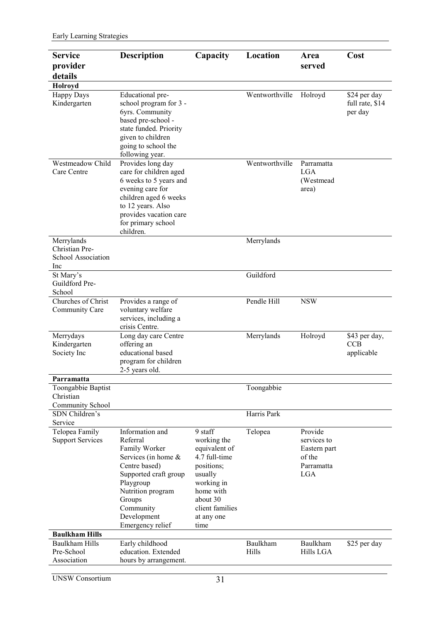| <b>Service</b>                                             | <b>Description</b>                                                                                                                                                                                        | Capacity                                                                                                                                                          | Location       | Area                                                                         | Cost                                       |
|------------------------------------------------------------|-----------------------------------------------------------------------------------------------------------------------------------------------------------------------------------------------------------|-------------------------------------------------------------------------------------------------------------------------------------------------------------------|----------------|------------------------------------------------------------------------------|--------------------------------------------|
| provider                                                   |                                                                                                                                                                                                           |                                                                                                                                                                   |                | served                                                                       |                                            |
| details                                                    |                                                                                                                                                                                                           |                                                                                                                                                                   |                |                                                                              |                                            |
| Holroyd                                                    |                                                                                                                                                                                                           |                                                                                                                                                                   |                |                                                                              |                                            |
| <b>Happy Days</b><br>Kindergarten                          | Educational pre-<br>school program for 3 -<br>6yrs. Community<br>based pre-school -<br>state funded. Priority<br>given to children<br>going to school the<br>following year.                              |                                                                                                                                                                   | Wentworthville | Holroyd                                                                      | \$24 per day<br>full rate, \$14<br>per day |
| Westmeadow Child<br>Care Centre                            | Provides long day<br>care for children aged<br>6 weeks to 5 years and<br>evening care for<br>children aged 6 weeks<br>to 12 years. Also<br>provides vacation care<br>for primary school<br>children.      |                                                                                                                                                                   | Wentworthville | Parramatta<br><b>LGA</b><br>(Westmead<br>area)                               |                                            |
| Merrylands<br>Christian Pre-<br>School Association<br>Inc  |                                                                                                                                                                                                           |                                                                                                                                                                   | Merrylands     |                                                                              |                                            |
| St Mary's<br>Guildford Pre-<br>School                      |                                                                                                                                                                                                           |                                                                                                                                                                   | Guildford      |                                                                              |                                            |
| Churches of Christ<br>Community Care                       | Provides a range of<br>voluntary welfare<br>services, including a<br>crisis Centre.                                                                                                                       |                                                                                                                                                                   | Pendle Hill    | <b>NSW</b>                                                                   |                                            |
| Merrydays<br>Kindergarten<br>Society Inc                   | Long day care Centre<br>offering an<br>educational based<br>program for children<br>2-5 years old.                                                                                                        |                                                                                                                                                                   | Merrylands     | Holroyd                                                                      | \$43 per day,<br><b>CCB</b><br>applicable  |
| Parramatta                                                 |                                                                                                                                                                                                           |                                                                                                                                                                   |                |                                                                              |                                            |
| Toongabbie Baptist<br>Christian<br><b>Community School</b> |                                                                                                                                                                                                           |                                                                                                                                                                   | Toongabbie     |                                                                              |                                            |
| SDN Children's<br>Service                                  |                                                                                                                                                                                                           |                                                                                                                                                                   | Harris Park    |                                                                              |                                            |
| Telopea Family<br><b>Support Services</b>                  | Information and<br>Referral<br>Family Worker<br>Services (in home &<br>Centre based)<br>Supported craft group<br>Playgroup<br>Nutrition program<br>Groups<br>Community<br>Development<br>Emergency relief | 9 staff<br>working the<br>equivalent of<br>4.7 full-time<br>positions;<br>usually<br>working in<br>home with<br>about 30<br>client families<br>at any one<br>time | Telopea        | Provide<br>services to<br>Eastern part<br>of the<br>Parramatta<br><b>LGA</b> |                                            |
| <b>Baulkham Hills</b><br><b>Baulkham Hills</b>             |                                                                                                                                                                                                           |                                                                                                                                                                   | Baulkham       |                                                                              |                                            |
| Pre-School<br>Association                                  | Early childhood<br>education. Extended<br>hours by arrangement.                                                                                                                                           |                                                                                                                                                                   | Hills          | Baulkham<br><b>Hills LGA</b>                                                 | \$25 per day                               |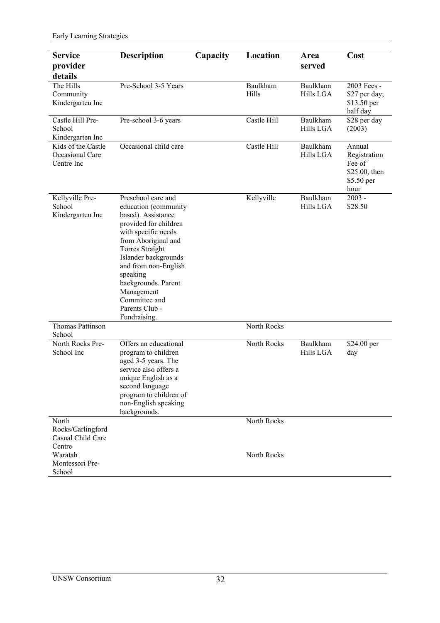| <b>Service</b>                                      | <b>Description</b>                                                                                                                                                                                                                                                                                                    | Capacity | Location          | Area                         | Cost                                                                    |
|-----------------------------------------------------|-----------------------------------------------------------------------------------------------------------------------------------------------------------------------------------------------------------------------------------------------------------------------------------------------------------------------|----------|-------------------|------------------------------|-------------------------------------------------------------------------|
| provider                                            |                                                                                                                                                                                                                                                                                                                       |          |                   | served                       |                                                                         |
| details                                             |                                                                                                                                                                                                                                                                                                                       |          |                   |                              |                                                                         |
| The Hills<br>Community<br>Kindergarten Inc          | Pre-School 3-5 Years                                                                                                                                                                                                                                                                                                  |          | Baulkham<br>Hills | Baulkham<br><b>Hills LGA</b> | 2003 Fees -<br>\$27 per day;<br>\$13.50 per<br>half day                 |
| Castle Hill Pre-<br>School<br>Kindergarten Inc      | Pre-school 3-6 years                                                                                                                                                                                                                                                                                                  |          | Castle Hill       | Baulkham<br>Hills LGA        | \$28 per day<br>(2003)                                                  |
| Kids of the Castle<br>Occasional Care<br>Centre Inc | Occasional child care                                                                                                                                                                                                                                                                                                 |          | Castle Hill       | Baulkham<br>Hills LGA        | Annual<br>Registration<br>Fee of<br>\$25.00, then<br>\$5.50 per<br>hour |
| Kellyville Pre-<br>School<br>Kindergarten Inc       | Preschool care and<br>education (community<br>based). Assistance<br>provided for children<br>with specific needs<br>from Aboriginal and<br><b>Torres Straight</b><br>Islander backgrounds<br>and from non-English<br>speaking<br>backgrounds. Parent<br>Management<br>Committee and<br>Parents Club -<br>Fundraising. |          | Kellyville        | Baulkham<br><b>Hills LGA</b> | $2003 -$<br>\$28.50                                                     |
| <b>Thomas Pattinson</b><br>School                   |                                                                                                                                                                                                                                                                                                                       |          | North Rocks       |                              |                                                                         |
| North Rocks Pre-<br>School Inc                      | Offers an educational<br>program to children<br>aged 3-5 years. The<br>service also offers a<br>unique English as a<br>second language<br>program to children of<br>non-English speaking<br>backgrounds.                                                                                                              |          | North Rocks       | Baulkham<br>Hills LGA        | \$24.00 per<br>day                                                      |
| North                                               |                                                                                                                                                                                                                                                                                                                       |          | North Rocks       |                              |                                                                         |
| Rocks/Carlingford<br>Casual Child Care<br>Centre    |                                                                                                                                                                                                                                                                                                                       |          |                   |                              |                                                                         |
| Waratah<br>Montessori Pre-<br>School                |                                                                                                                                                                                                                                                                                                                       |          | North Rocks       |                              |                                                                         |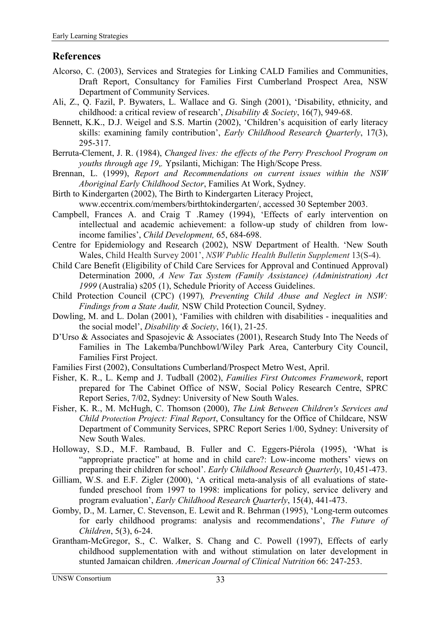### <span id="page-42-0"></span>**References**

- Alcorso, C. (2003), Services and Strategies for Linking CALD Families and Communities, Draft Report, Consultancy for Families First Cumberland Prospect Area, NSW Department of Community Services.
- Ali, Z., Q. Fazil, P. Bywaters, L. Wallace and G. Singh (2001), ëDisability, ethnicity, and childhood: a critical review of research', *Disability & Society*, 16(7), 949-68.
- Bennett, K.K., D.J. Weigel and S.S. Martin (2002), 'Children's acquisition of early literacy skills: examining family contribution<sup>'</sup>, *Early Childhood Research Quarterly*, 17(3), 295-317.
- Berruta-Clement, J. R. (1984), *Changed lives: the effects of the Perry Preschool Program on youths through age 19*,*.* Ypsilanti, Michigan: The High/Scope Press.
- Brennan, L. (1999), *Report and Recommendations on current issues within the NSW Aboriginal Early Childhood Sector*, Families At Work, Sydney.
- Birth to Kindergarten (2002), The Birth to Kindergarten Literacy Project, www.eccentrix.com/members/birthtokindergarten/, accessed 30 September 2003.
- Campbell, Frances A. and Craig T .Ramey (1994), ëEffects of early intervention on intellectual and academic achievement: a follow-up study of children from lowincome families', *Child Development*, 65, 684-698.
- Centre for Epidemiology and Research (2002), NSW Department of Health. 'New South Wales, Child Health Survey 2001', *NSW Public Health Bulletin Supplement* 13(S-4).
- Child Care Benefit (Eligibility of Child Care Services for Approval and Continued Approval) Determination 2000, *A New Tax System (Family Assistance) (Administration) Act 1999* (Australia) s205 (1), Schedule Priority of Access Guidelines.
- Child Protection Council (CPC) (1997)*, Preventing Child Abuse and Neglect in NSW: Findings from a State Audit,* NSW Child Protection Council, Sydney.
- Dowling, M. and L. Dolan (2001), 'Families with children with disabilities inequalities and the social model', *Disability & Society*, 16(1), 21-25.
- D'Urso & Associates and Spasojevic & Associates (2001), Research Study Into The Needs of Families in The Lakemba/Punchbowl/Wiley Park Area, Canterbury City Council, Families First Project.
- Families First (2002), Consultations Cumberland/Prospect Metro West, April.
- Fisher, K. R., L. Kemp and J. Tudball (2002), *Families First Outcomes Framework*, report prepared for The Cabinet Office of NSW, Social Policy Research Centre, SPRC Report Series, 7/02, Sydney: University of New South Wales.
- Fisher, K. R., M. McHugh, C. Thomson (2000), *The Link Between Children's Services and Child Protection Project: Final Report*, Consultancy for the Office of Childcare, NSW Department of Community Services, SPRC Report Series 1/00, Sydney: University of New South Wales.
- Holloway, S.D., M.F. Rambaud, B. Fuller and C. Eggers-Piérola (1995), 'What is "appropriate practice" at home and in child care?: Low-income mothers' views on preparing their children for school'. *Early Childhood Research Quarterly*, 10,451-473.
- Gilliam, W.S. and E.F. Zigler (2000), ëA critical meta-analysis of all evaluations of statefunded preschool from 1997 to 1998: implications for policy, service delivery and program evaluation<sup>'</sup>, *Early Childhood Research Ouarterly*, 15(4), 441-473.
- Gomby, D., M. Larner, C. Stevenson, E. Lewit and R. Behrman (1995), ëLong-term outcomes for early childhood programs: analysis and recommendations', *The Future of Children*, 5(3), 6-24.
- Grantham-McGregor, S., C. Walker, S. Chang and C. Powell (1997), Effects of early childhood supplementation with and without stimulation on later development in stunted Jamaican children. *American Journal of Clinical Nutrition* 66: 247-253.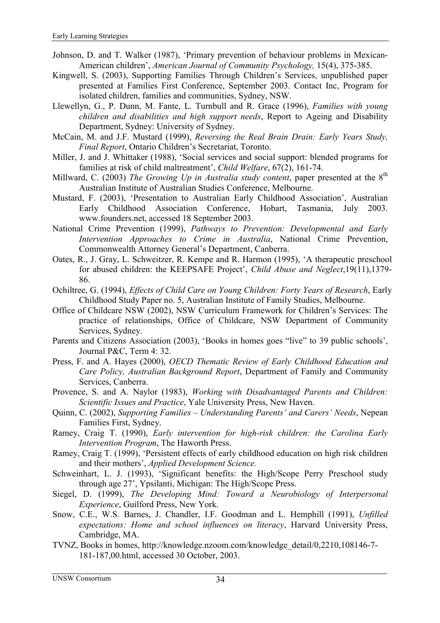- Johnson, D. and T. Walker (1987), 'Primary prevention of behaviour problems in Mexican-American children', *American Journal of Community Psychology*, 15(4), 375-385.
- Kingwell, S. (2003), Supporting Families Through Children's Services, unpublished paper presented at Families First Conference, September 2003. Contact Inc, Program for isolated children, families and communities, Sydney, NSW.
- Llewellyn, G., P. Dunn, M. Fante, L. Turnbull and R. Grace (1996), *Families with young children and disabilities and high support needs*, Report to Ageing and Disability Department, Sydney: University of Sydney.
- McCain, M. and J.F. Mustard (1999), *Reversing the Real Brain Drain: Early Years Study,*  **Final Report, Ontario Children's Secretariat, Toronto.**
- Miller, J. and J. Whittaker (1988), 'Social services and social support: blended programs for families at risk of child maltreatment', *Child Welfare*, 67(2), 161-74.
- Millward, C. (2003) *The Growing Up in Australia study content*, paper presented at the 8<sup>th</sup> Australian Institute of Australian Studies Conference, Melbourne.
- Mustard, F. (2003), 'Presentation to Australian Early Childhood Association', Australian Early Childhood Association Conference, Hobart, Tasmania, July 2003. www.founders.net, accessed 18 September 2003.
- National Crime Prevention (1999), *Pathways to Prevention: Developmental and Early Intervention Approaches to Crime in Australia*, National Crime Prevention, Commonwealth Attorney General's Department, Canberra.
- Oates, R., J. Gray, L. Schweitzer, R. Kempe and R. Harmon (1995), ëA therapeutic preschool for abused children: the KEEPSAFE Project', *Child Abuse and Neglect*, 19(11), 1379-86.
- Ochiltree, G. (1994), *Effects of Child Care on Young Children: Forty Years of Research*, Early Childhood Study Paper no. 5, Australian Institute of Family Studies, Melbourne.
- Office of Childcare NSW (2002), NSW Curriculum Framework for Children's Services: The practice of relationships, Office of Childcare, NSW Department of Community Services, Sydney.
- Parents and Citizens Association (2003), 'Books in homes goes "live" to 39 public schools', Journal P&C, Term 4: 32.
- Press, F. and A. Hayes (2000), *OECD Thematic Review of Early Childhood Education and Care Policy, Australian Background Report*, Department of Family and Community Services, Canberra.
- Provence, S. and A. Naylor (1983), *Working with Disadvantaged Parents and Children: Scientific Issues and Practice*, Yale University Press, New Haven.
- Quinn, C. (2002), *Supporting Families Understanding Parents' and Carers' Needs*, Nepean Families First, Sydney.
- Ramey, Craig T. (1990), *Early intervention for high-risk children: the Carolina Early Intervention Program*, The Haworth Press.
- Ramey, Craig T. (1999), ëPersistent effects of early childhood education on high risk children and their mothers', *Applied Development Science*.
- Schweinhart, L. J. (1993), 'Significant benefits: the High/Scope Perry Preschool study through age 27', Ypsilanti, Michigan: The High/Scope Press.
- Siegel, D. (1999), *The Developing Mind: Toward a Neurobiology of Interpersonal Experience*, Guilford Press, New York.
- Snow, C.E., W.S. Barnes, J. Chandler, I.F. Goodman and L. Hemphill (1991), *Unfilled expectations: Home and school influences on literacy*, Harvard University Press, Cambridge, MA.
- TVNZ, Books in homes, http://knowledge.nzoom.com/knowledge\_detail/0,2210,108146-7- 181-187,00.html, accessed 30 October, 2003.